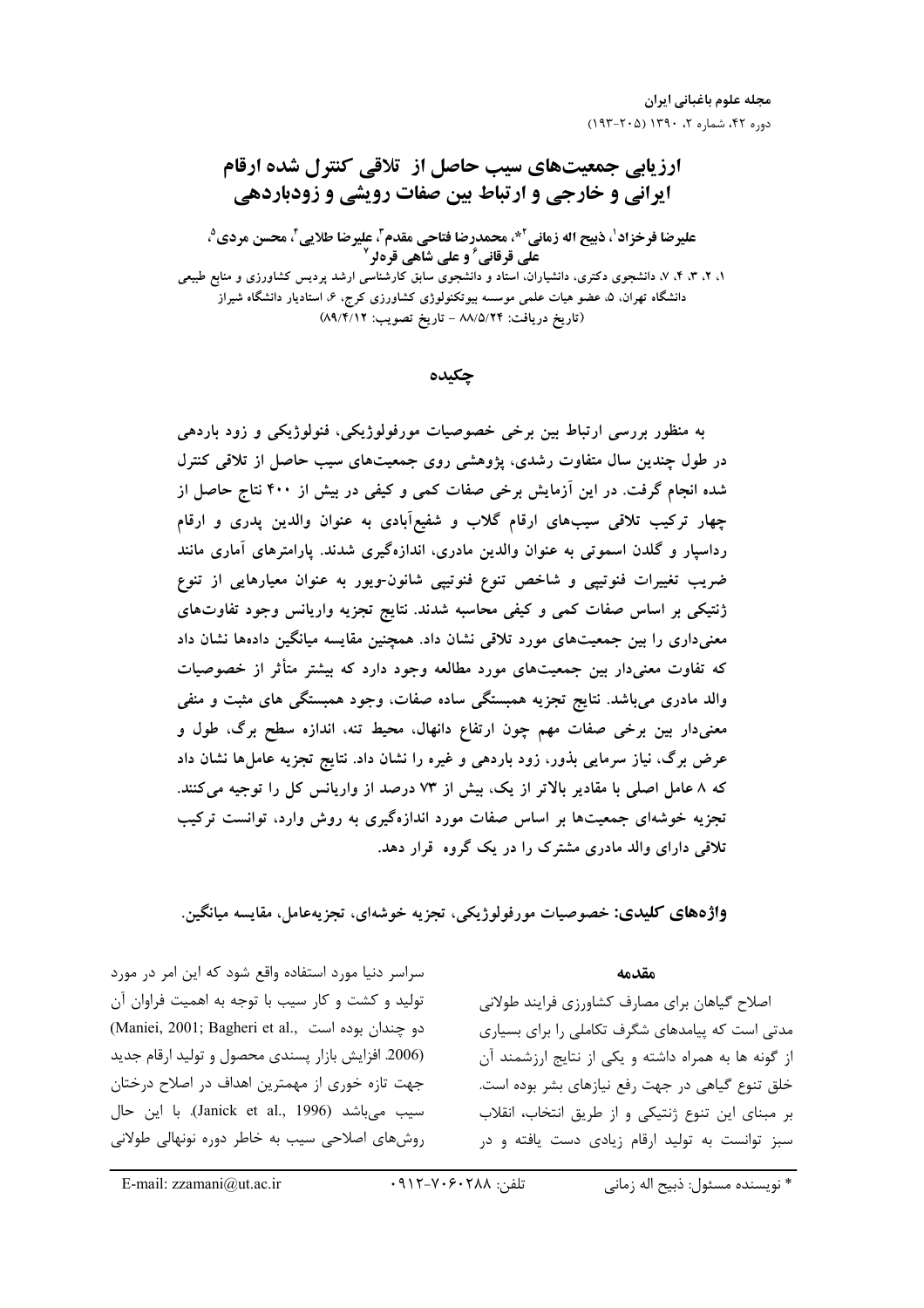# ارزیابی جمعیتهای سیب حاصل از تلاقی کنترل شده ارقام **ایرانی و خارجی و ارتباط بین صفات رویشی و زودباردهی** عليرضا فرخزاد'، ذبيح اله زماني<sup>2</sup>\*، محمدرضا فتاحي مقدم<sup>3</sup>، عليرضا طلايي<sup>2</sup>، محسن مردي<sup>9</sup>، علی قرقانی ؒ و علی شاهی قرهلر ٰ ۱. ۲. ۴. ۴. ۷. دانشجوی دکتری، دانشیاران، استاد و دانشجوی سابق کارشناسی ارشد پردیس کشاورزی و منابع طبیعی دانشگاه تهران. ۵. عضو هیات علمی موسسه بیوتکنولوژی کشاورزی کرج. ۶. استادیار دانشگاه شیراز (تاريخ دريافت: ٨٨/٥/٢۴ - تاريخ تصويب: ٨٩/٤/١٢)

چکىدە

به منظور بررسی ارتباط بین برخی خصوصیات مورفولوژیکی، فنولوژیکی و زود باردهی در طول چندین سال متفاوت رشدی، پژوهشی روی جمعیتهای سیب حاصل از تلاقی کنترل شده انجام گرفت. در این آزمایش برخی صفات کمی و کیفی در بیش از ۴۰۰ نتاج حاصل از چهار ترکیب تلاقی سیبهای ارقام گلاب و شفیعآبادی به عنوان والدین پدری و ارقام رداسپار و گلدن اسموتی به عنوان والدین مادری، اندازهگیری شدند. پارامترهای آماری مانند ضریب تغییرات فنوتیپی و شاخص تنوع فنوتیپی شانون-ویور به عنوان معیارهایی از تنوع ژنتیکی بر اساس صفات کمی و کیفی محاسبه شدند. نتایج تجزیه واریانس وجود تفاوتهای معنیداری را بین جمعیتهای مورد تلاقی نشان داد. همچنین مقایسه میانگین دادهها نشان داد که تفاوت معنیدار بین جمعیتهای مورد مطالعه وجود دارد که بیشتر متأثر از خصوصیات والد مادری میباشد. نتایج تجزیه همبستگی ساده صفات، وجود همبستگی های مثبت و منفی معنیدار بین برخی صفات مهم چون ارتفاع دانهال، محیط تنه، اندازه سطح برگ، طول و عرض برگ، نیاز سرمایی بذور، زود باردهی و غیره را نشان داد. نتایج تجزیه عاملها نشان داد که ۸ عامل اصلی با مقادیر بالاتر از یک، بیش از ۷۳ درصد از واریانس کل را توجیه می کنند. تجزیه خوشهای جمعیتها بر اساس صفات مورد اندازهگیری به روش وارد، توانست ترکیب تلاقی دارای والد مادری مشترک را در یک گروه قرار دهد.

واژههاي كليدي: خصوصيات مورفولوژيكي، تجزيه خوشهاي، تجزيهعامل، مقايسه ميانگين.

سراسر دنیا مورد استفاده واقع شود که این امر در مورد تولید و کشت و کار سیب با توجه به اهمیت فراوان آن (Maniei, 2001; Bagheri et al., دو چندان بوده است) (2006. افزایش بازار پسندی محصول و تولید ارقام جدید جهت تازه خوری از مهمترین اهداف در اصلاح درختان سيب ميباشد (Janick et al., 1996). با اين حال روشهای اصلاحی سیب به خاطر دوره نونهالی طولانی مقدمه

اصلاح گیاهان برای مصارف کشاورزی فرایند طولانی مدتی است که پیامدهای شگرف تکاملی را برای بسیاری از گونه ها به همراه داشته و یکی از نتایج ارزشمند آن خلق تنوع گیاهی در جهت رفع نیازهای بشر بوده است. بر مبنای این تنوع ژنتیکی و از طریق انتخاب، انقلاب سبز توانست به تولید ارقام زیادی دست یافته و در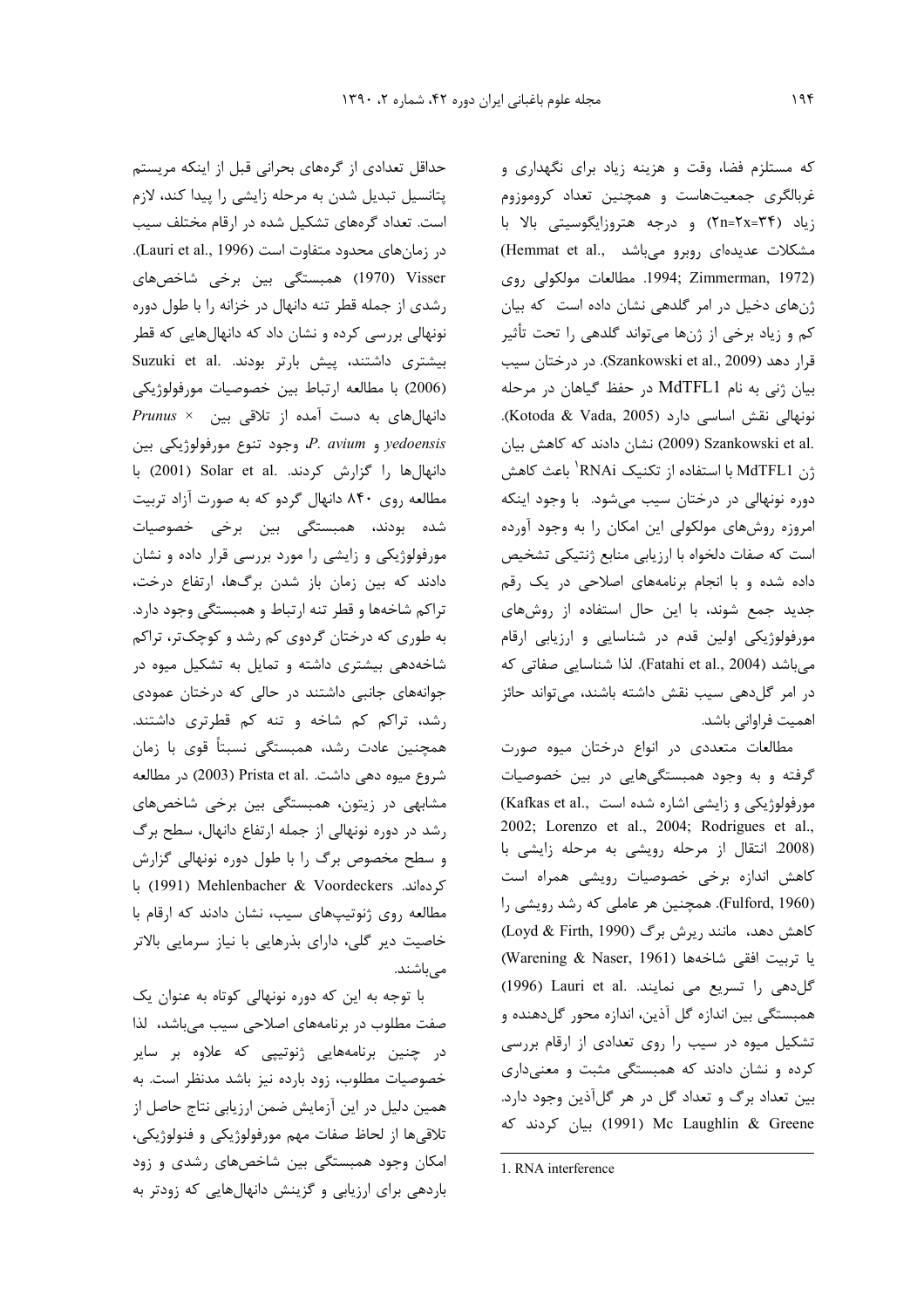حداقل تعدادي از گرههاي بحراني قبل از اينكه مريستم پتانسیل تبدیل شدن به مرحله زایشی را پیدا کند، لازم است. تعداد گرههای تشکیل شده در ارقام مختلف سیب در زمانهای محدود متفاوت است (Lauri et al., 1996). Visser) (1970) همبستگی بین برخی شاخصهای رشدی از جمله قطر تنه دانهال در خزانه را با طول دوره نونهالی بررسی کرده و نشان داد که دانهالهایی که قطر Suzuki et al. بیشتند، پیش بارتر بودند. Suzuki et al (2006) با مطالعه ارتباط بين خصوصيات مورفولوژيكى دانهالهای به دست آمده از تلاقی بین × Prunus yedoensis و P. avium، وجود تنوع مورفولوژيكى بين دانهال ها را گزارش كردند. Solar et al. (2001) با مطالعه روی ۸۴۰ دانهال گردو که به صورت آزاد تربیت شده بودند، همبستگی بین برخی خصوصیات مورفولوژیکی و زایشی را مورد بررسی قرار داده و نشان دادند که بین زمان باز شدن برگها، ارتفاع درخت، تراکم شاخهها و قطر تنه ارتباط و همبستگی وجود دارد. به طوری که درختان گردوی کم رشد و کوچکتر، تراکم شاخهدهی بیشتری داشته و تمایل به تشکیل میوه در جوانههای جانبی داشتند در حالی که درختان عمودی رشد، تراکم کم شاخه و تنه کم قطرتری داشتند. همچنین عادت رشد، همبستگی نسبتاً قوی با زمان شروع ميوه دهي داشت. .Prista et al (2003) در مطالعه مشابهی در زیتون، همبستگی بین برخی شاخصهای رشد در دوره نونهالی از جمله ارتفاع دانهال، سطح برگ و سطح مخصوص برگ را با طول دوره نونهالی گزارش كردهاند. Mehlenbacher & Voordeckers با مطالعه روی ژنوتیپهای سیب، نشان دادند که ارقام با خاصیت دیر گلی، دارای بذرهایی با نیاز سرمایی بالاتر مے باشند.

با توجه به این که دوره نونهالی کوتاه به عنوان یک صفت مطلوب در برنامههای اصلاحی سیب میباشد، لذا در چنین برنامههایی ژنوتیپی که علاوه بر سایر خصوصیات مطلوب، زود بارده نیز باشد مدنظر است. به همین دلیل در این آزمایش ضمن ارزیابی نتاج حاصل از تلاقیها از لحاظ صفات مهم مورفولوژیکی و فنولوژیکی، امکان وجود همبستگی بین شاخصهای رشدی و زود باردهی برای ارزیابی و گزینش دانهالهایی که زودتر به که مستلزم فضا، وقت و هزینه زیاد برای نگهداری و غربالگری جمعیتهاست و همچنین تعداد کروموزوم زیاد (۲۴=۲۸=۲n) و درجه هتروزایگوسیتی بالا با (Hemmat et al., میباشد) (Hemmat et al., .1994; Zimmerman, 1972). مطالعات مولكولي روى ژنهای دخیل در امر گلدهی نشان داده است که بیان کم و زیاد برخی از ژنها میتواند گلدهی را تحت تأثیر قرار دهد (Szankowski et al., 2009). در درختان سيب بیان ژنی به نام MdTFL1 در حفظ گیاهان در مرحله نونهالی نقش اساسی دارد (Kotoda & Vada, 2005). .Szankowski et al (2009) نشان دادند که کاهش بیان ژن MdTFL1 با استفاده از تکنیک RNAi' باعث کاهش دوره نونهالی در درختان سیب میشود. با وجود اینکه امروزه روشهای مولکولی این امکان را به وجود آورده است که صفات دلخواه با ارزيابي منابع ژنتيکي تشخيص داده شده و با انجام برنامههای اصلاحی در یک رقم جدید جمع شوند، با این حال استفاده از روشهای مورفولوژیکی اولین قدم در شناسایی و ارزیابی ارقام میباشد (Fatahi et al., 2004). لذا شناسایی صفاتی که در امر گل دهی سیب نقش داشته باشند، می تواند حائز اهميت فراواني باشد.

مطالعات متعددی در انواع درختان میوه صورت گرفته و به وجود همبستگیهایی در بین خصوصیات (Kafkas et al., مورفولوژیکی و زایشی اشاره شده است 2002; Lorenzo et al., 2004; Rodrigues et al., (2008. انتقال از مرحله رویشی به مرحله زایشی با كاهش اندازه برخى خصوصيات رويشى همراه است (Fulford, 1960). همچنین هر عاملی که رشد رویشی را کاهش دهد، مانند ریرش برگ (Loyd & Firth, 1990) يا تربيت افقى شاخهها (Warening & Naser, 1961) گل دهی را تسریع می نمایند. .1991) (1996) همبستگی بین اندازه گل آذین، اندازه محور گل دهنده و تشکیل میوه در سیب را روی تعدادی از ارقام بررسی کرده و نشان دادند که همبستگی مثبت و معنیداری بین تعداد برگ و تعداد گل در هر گلآذین وجود دارد. Mc Laughlin & Greene) بیان کردند که

<sup>1.</sup> RNA interference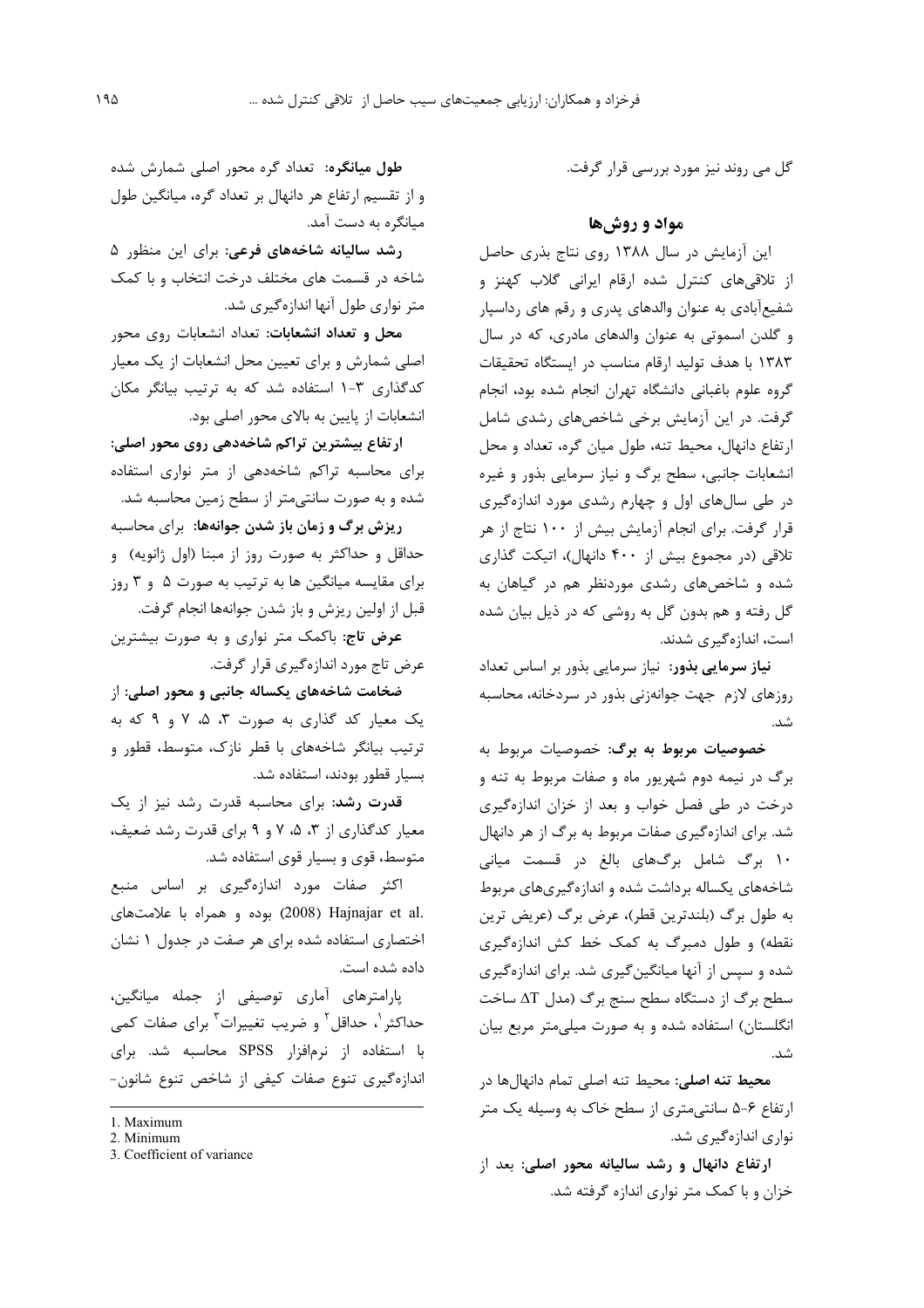گل می روند نیز مورد بررسی قرار گرفت.

### مواد و روشها

این آزمایش در سال ۱۳۸۸ روی نتاج بذری حاصل از تلاقی های کنترل شده ارقام ایرانی گلاب کهنز و شفیعآبادی به عنوان والدهای پدری و رقم های رداسپار و گلدن اسموتی به عنوان والدهای مادری، که در سال ۱۳۸۳ با هدف تولید ارقام مناسب در ایستگاه تحقیقات گروه علوم باغبانی دانشگاه تهران انجام شده بود، انجام گرفت. در این آزمایش برخی شاخصهای رشدی شامل ارتفاع دانهال، محیط تنه، طول میان گره، تعداد و محل انشعابات جانبی، سطح برگ و نیاز سرمایی بذور و غیره در طی سال های اول و چهارم رشدی مورد اندازهگیری قرار گرفت. برای انجام آزمایش بیش از ۱۰۰ نتاج از هر تلاقی (در مجموع بیش از ۴۰۰ دانهال)، اتیکت گذاری شده و شاخصهای رشدی موردنظر هم در گیاهان به گل رفته و هم بدون گل به روشی که در ذیل بیان شده است، اندازهگیری شدند.

<mark>نیاز سرمایی بذور</mark>: نیاز سرمایی بذور بر اساس تعداد روزهای لازم جهت جوانهزنی بذور در سردخانه، محاسبه شد.

خصوصیات مربوط به برگ: خصوصیات مربوط به برگ در نیمه دوم شهریور ماه و صفات مربوط به تنه و درخت در طی فصل خواب و بعد از خزان اندازهگیری شد. برای اندازهگیری صفات مربوط به برگ از هر دانهال ۱۰ برگ شامل برگهای بالغ در قسمت میانی شاخههای یکساله برداشت شده و اندازهگیریهای مربوط به طول برگ (بلندترین قطر)، عرض برگ (عریض ترین نقطه) و طول دمبرگ به کمک خط کش اندازهگیری شده و سپس از آنها میانگین گیری شد. برای اندازهگیری سطح برگ از دستگاه سطح سنج برگ (مدل AT ساخت انگلستان) استفاده شده و به صورت میلی متر مربع بیان شد.

محیط تنه اصلی: محیط تنه اصلی تمام دانهالها در ارتفاع ۶-۵ سانتی متری از سطح خاک به وسیله یک متر نواری اندازهگیری شد.

ارتفاع دانهال و رشد سالیانه محور اصلی: بعد از خزان و با کمک متر نواری اندازه گرفته شد.

طول میانگره: تعداد گره محور اصلی شمارش شده و از تقسیم ارتفاع هر دانهال بر تعداد گره، میانگین طول میانگره به دست آمد.

رشد سالیانه شاخههای فرعی: برای این منظور ۵ شاخه در قسمت های مختلف درخت انتخاب و با کمک متر نواری طول آنها اندازهگیری شد.

محل و تعداد انشعابات: تعداد انشعابات روی محور اصلی شمارش و برای تعیین محل انشعابات از یک معیار کدگذاری ۳-۱ استفاده شد که به ترتیب بیانگر مکان انشعابات از پایین به بالای محور اصلی بود.

ارتفاع بیشترین تراکم شاخهدهی روی محور اصلی: برای محاسبه تراکم شاخهدهی از متر نواری استفاده شده و به صورت سانتیمتر از سطح زمین محاسبه شد.

ریزش برگ و زمان باز شدن جوانهها: برای محاسبه حداقل و حداکثر به صورت روز از مبنا (اول ژانویه) و برای مقایسه میانگین ها به ترتیب به صورت ۵ و ۳ روز قبل از اولین ریزش و باز شدن جوانهها انجام گرفت.

عرض تاج: باکمک متر نواری و به صورت بیشترین عرض تاج مورد اندازهگیری قرار گرفت.

ضخامت شاخههای یکساله جانبی و محور اصلی: از یک معیار کد گذاری به صورت ۳، ۵، ۷ و ۹ که به ترتیب بیانگر شاخههای با قطر نازک، متوسط، قطور و بسيار قطور بودند، استفاده شد.

قدرت رشد: برای محاسبه قدرت رشد نیز از یک معیار کدگذاری از ۳، ۵، ۷ و ۹ برای قدرت رشد ضعیف، متوسط، قوی و بسیار قوی استفاده شد.

اکثر صفات مورد اندازهگیری بر اساس منبع .2008) Hajnajar et al) بوده و همراه با علامتهای اختصاری استفاده شده برای هر صفت در جدول ۱ نشان داده شده است.

یارامترهای آماری توصیفی از جمله میانگین، حداکثر <sup>۱</sup>، حداقل <sup>۲</sup> و ضریب تغییرات آ برای صفات کمی با استفاده از نرمافزار SPSS محاسبه شد. برای اندازہگیری تنوع صفات کیفی از شاخص تنوع شانون-

<sup>1.</sup> Maximum

<sup>2.</sup> Minimum

<sup>3.</sup> Coefficient of variance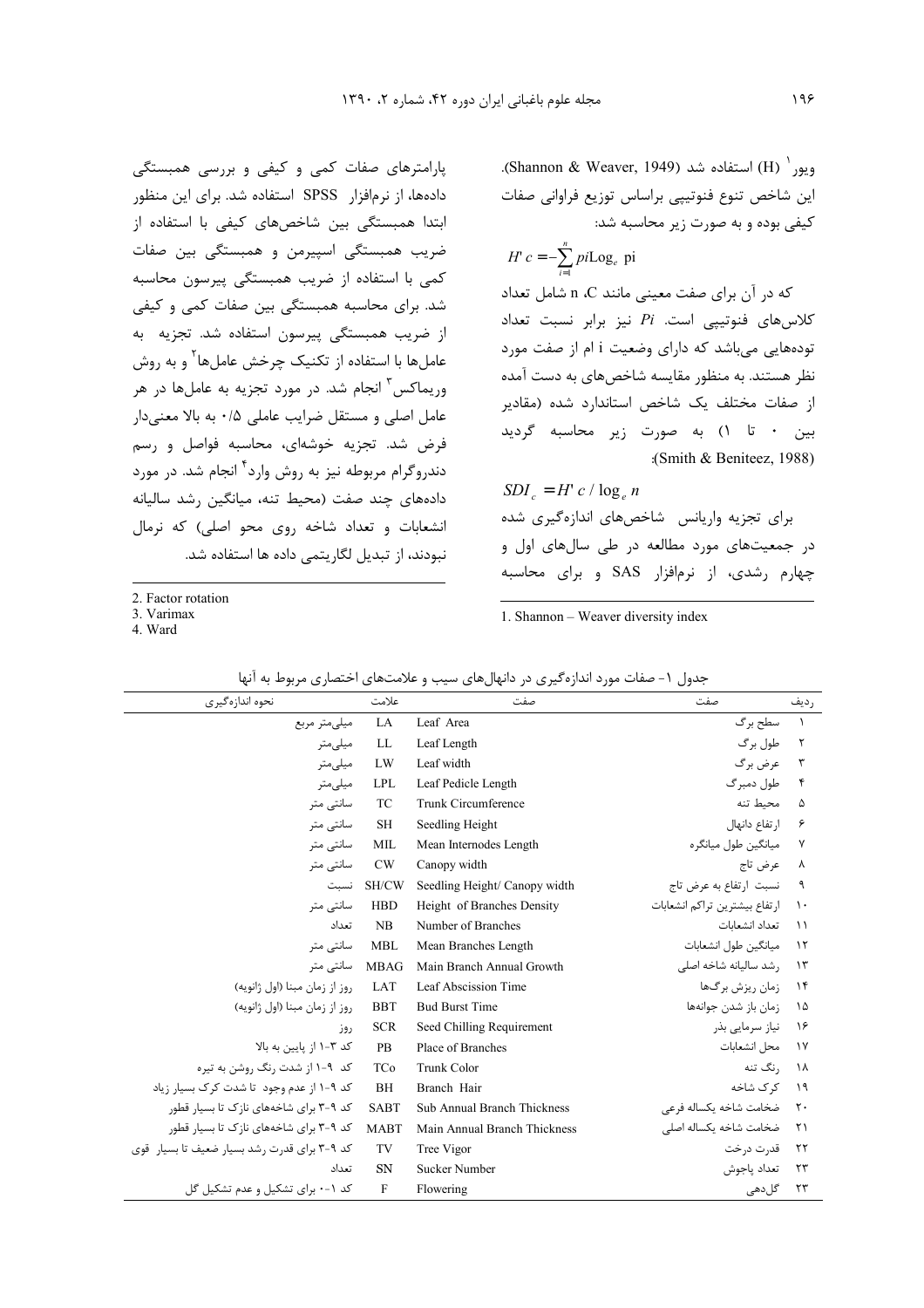ويور<sup>י</sup> (H) استفاده شد (Shannon & Weaver, 1949). این شاخص تنوع فنوتیپی براساس توزیع فراوانی صفات کیفی بوده و به صورت زیر محاسبه شد:

 $c = -\sum pi \text{Log}_{e}$  pi  $e^{\mu L \omega_{\theta_e}}$ *n H*  $c = -\sum_{i=1}^{ } p i$ =

كه در آن براي صفت معيني مانند n ،C شامل تعداد كلاس هاى فنوتييى است. *Pi* نيز برابر نسبت تعداد تودههایی میباشد که دارای وضعیت i ام از صفت مورد نظر هستند. به منظور مقايسه شاخصهاى به دست آمده از صفات مختلف یک شاخص استاندارد شده (مقادیر بین ۰ تا ۱) به صورت زیر محاسبه گردید :(Smith & Beniteez, 1988)

$$
SDI_c = H' c / \log_e n
$$

برای تجزیه واریانس شاخصهای اندازهگیری شده در جمعیتهای مورد مطالعه در طی سالهای اول و چهارم رشدی، از نرمافزار SAS و برای محاسبه

2. Factor rotation

پارامترهای صفات کمی و کیفی و بررسی همبستگی دادهها، از نرمافزار SPSS استفاده شد. برای این منظور ابتدا همبستگی بین شاخصهای کیفی با استفاده از ضریب همبستگی اسپیرمن و همبستگی بین صفات کمی با استفاده از ضریب همبستگی پیرسون محاسبه شد. برای محاسبه همبستگی بین صفات کمی و کیفی از ضریب همبستگی پیرسون استفاده شد. تجزیه به عاملها با استفاده از تکنیک چرخش عاملها<sup>۲</sup> و به روش وریماکس<sup>۳</sup> انجام شد. در مورد تجزیه به عاملها در هر عامل اصلی و مستقل ضرایب عاملی ۰/۵ به بالا معنی دار فرض شد. تجزیه خوشهای، محاسبه فواصل و رسم دندروگرام مربوطه نیز به روش وارد<sup>۴</sup> انجام شد. در مورد

دادههای چند صفت (محیط تنه، میانگین رشد سالیانه انشعابات و تعداد شاخه روی محو اصلی) که نرمال

نبودند، از تبدیل لگاریتمی داده ها استفاده شد.

3. Varimax

4. Ward

1. Shannon – Weaver diversity index

| نحوه اندازهگیری                              | علامت       | صفت                           | صفت                            | , دیف             |
|----------------------------------------------|-------------|-------------------------------|--------------------------------|-------------------|
| میلی متر مربع                                | LA          | Leaf Area                     | سطح برگ                        | $\sqrt{ }$        |
| ميلىمتر                                      | LL          | Leaf Length                   | طول برگ                        | $\Upsilon$        |
| ميلىمتر                                      | LW          | Leaf width                    | عرض برگ                        | $\Upsilon$        |
| ميلىمتر                                      | <b>LPL</b>  | Leaf Pedicle Length           | طول دمبرگ                      | $\mathbf{r}$      |
| سانتے متر                                    | <b>TC</b>   | Trunk Circumference           | محيط تنه                       | ۵                 |
| سانتے متر                                    | <b>SH</b>   | Seedling Height               | ارتفاع دانهال                  | ۶                 |
| سانتے متر                                    | <b>MIL</b>  | Mean Internodes Length        | میانگین طول میانگره            | $\mathsf{v}$      |
| سانتی متر                                    | <b>CW</b>   | Canopy width                  | عرض تاج                        | ٨                 |
| نسىت                                         | SH/CW       | Seedling Height/ Canopy width | نسبت ارتفاع به عرض تاج         | ٩                 |
| سانتے متر                                    | <b>HBD</b>  | Height of Branches Density    | ا, تفاع بیشترین تراکم انشعابات | $\mathcal{L}$     |
| تعداد                                        | NB          | Number of Branches            | تعداد انشعابات                 | $\lambda$         |
| سانتی متر                                    | <b>MBL</b>  | Mean Branches Length          | ميانگين طول انشعابات           | $\lambda$         |
| سانتے متر                                    | <b>MBAG</b> | Main Branch Annual Growth     | رشد سالیانه شاخه اصلی          | $\mathcal{N}$     |
| روز از زمان مبنا (اول ژانویه)                | LAT         | Leaf Abscission Time          | زمان ریزش برگھا                | $\lambda$         |
| روز از زمان مبنا (اول ژانویه)                | <b>BBT</b>  | <b>Bud Burst Time</b>         | زمان باز شدن جوانهها           | ۱۵                |
| روز                                          | <b>SCR</b>  | Seed Chilling Requirement     | نیاز سرمایے بذر                | ۱۶                |
| کد ۳-۱ از پایین به بالا                      | PB          | Place of Branches             | محل انشعابات                   | $\gamma$          |
| کد ۱-۹ از شدت رنگ روشن به تیره               | TCo         | Trunk Color                   | , نگ تنه                       | ١٨                |
| کد ۹-۱ از عدم وجود تا شدت کرک بسیار زیاد     | <b>BH</b>   | Branch Hair                   | ک ک شاخه                       | ۱۹                |
| کد ۹-۳ برای شاخههای نازک تا بسیار قطور       | <b>SABT</b> | Sub Annual Branch Thickness   | ضخامت شاخه يكساله فرعى         | $\mathsf{r}\cdot$ |
| کد ۹-۳ برای شاخههای نازک تا بسیار قطور       | <b>MABT</b> | Main Annual Branch Thickness  | ضخامت شاخه يكساله اصلى         | $\uparrow$        |
| کد ۹-۳ برای قدرت رشد بسیار ضعیف تا بسیار قوی | TV          | Tree Vigor                    | قدرت درخت                      | ۲۲                |
| تعداد                                        | <b>SN</b>   | <b>Sucker Number</b>          | تعداد ياجوش                    | ۲۳                |
| کد ۱-۰ برای تشکیل و عدم تشکیل گل             | F           | Flowering                     | گل دھی                         | ۲۳                |

|  |  |  |  |  |  |  |  | جدول ۱- صفات مورد اندازهگیری در دانهالهای سیب و علامتهای اختصاری مربوط به آنها |  |
|--|--|--|--|--|--|--|--|--------------------------------------------------------------------------------|--|
|--|--|--|--|--|--|--|--|--------------------------------------------------------------------------------|--|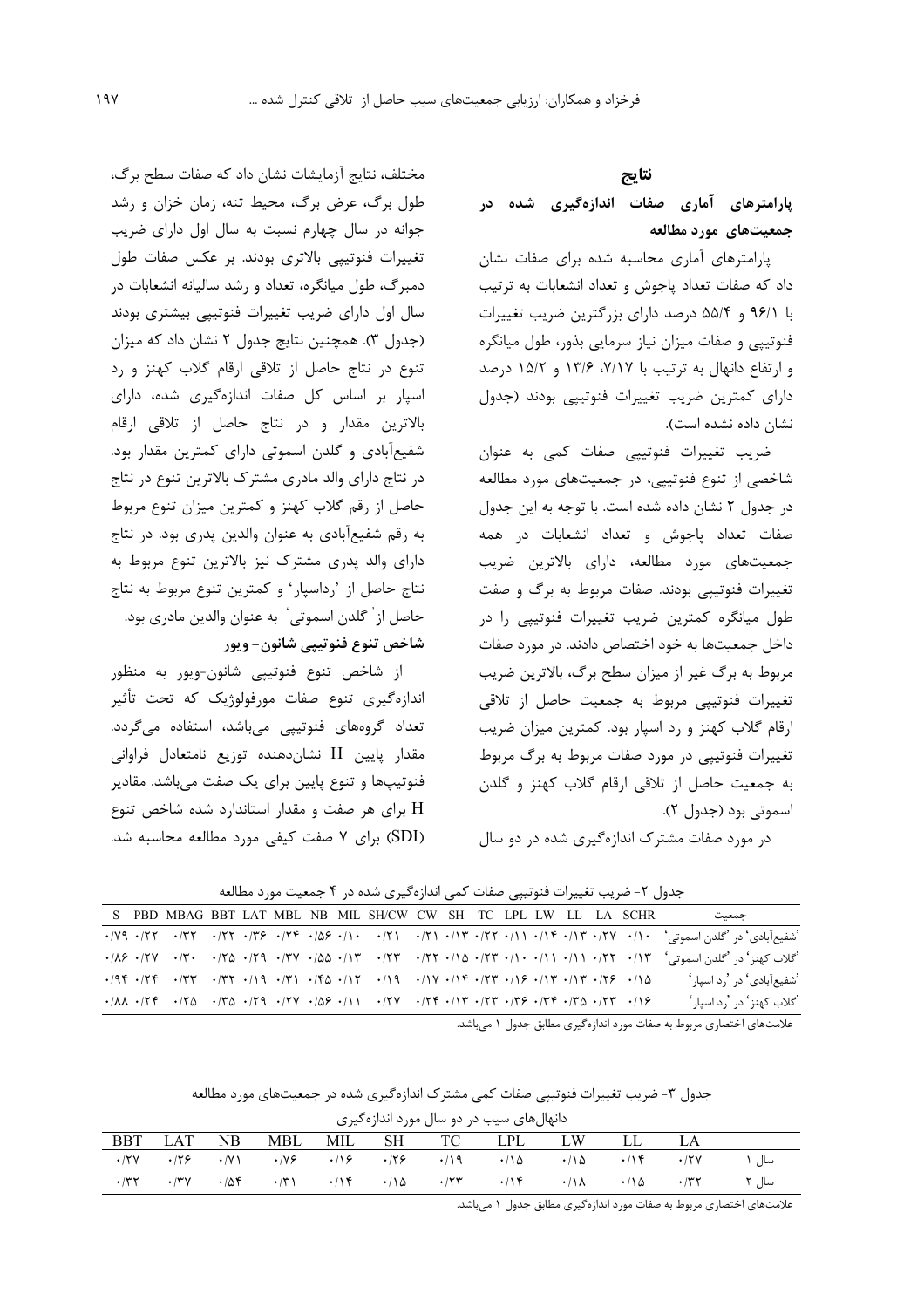#### نتايج

پارامترهای آماری صفات اندازهگیری شده در جمعیتهای مورد مطالعه

پارامترهای آماری محاسبه شده برای صفات نشان داد که صفات تعداد پاجوش و تعداد انشعابات به ترتیب با ۹۶/۱ و ۵۵/۴ درصد دارای بزرگترین ضریب تغییرات فنوتیپی و صفات میزان نیاز سرمایی بذور، طول میانگره و ارتفاع دانهال به ترتیب با ۷/۱۷، ۱۳/۶، ۱۵/۲ و ۱۵/۲ درصد دارای کمترین ضریب تغییرات فنوتیپی بودند (جدول نشان داده نشده است).

ضریب تغییرات فنوتیپی صفات کمی به عنوان شاخصی از تنوع فنوتییی، در جمعیتهای مورد مطالعه در جدول ۲ نشان داده شده است. با توجه به این جدول صفات تعداد یاجوش و تعداد انشعابات در همه جمعیتهای مورد مطالعه، دارای بالاترین ضریب تغییرات فنوتیپی بودند. صفات مربوط به برگ و صفت طول میانگره کمترین ضریب تغییرات فنوتیپی را در داخل جمعیتها به خود اختصاص دادند. در مورد صفات مربوط به برگ غیر از میزان سطح برگ، بالاترین ضریب تغییرات فنوتییی مربوط به جمعیت حاصل از تلاقی ارقام گلاب کهنز و رد اسیار بود. کمترین میزان ضریب تغییرات فنوتییی در مورد صفات مربوط به برگ مربوط به جمعیت حاصل از تلاقی ارقام گلاب کهنز و گلدن اسموتي بود (جدول ٢).

در مورد صفات مشترک اندازهگیری شده در دو سال

مختلف، نتايج آزمايشات نشان داد كه صفات سطح برگ، طول برگ، عرض برگ، محیط تنه، زمان خزان و رشد جوانه در سال چهارم نسبت به سال اول دارای ضریب تغییرات فنوتیپی بالاتری بودند. بر عکس صفات طول دمبرگ، طول میانگره، تعداد و رشد سالیانه انشعابات در سال اول دارای ضریب تغییرات فنوتیپی بیشتری بودند (جدول ٣). همچنین نتایج جدول ٢ نشان داد که میزان تنوع در نتاج حاصل از تلاقی ارقام گلاب کهنز و رد اسپار بر اساس کل صفات اندازهگیری شده، دارای بالاترین مقدار و در نتاج حاصل از تلاقی ارقام شفیعآبادی و گلدن اسموتی دارای کمترین مقدار بود. در نتاج دارای والد مادری مشترک بالاترین تنوع در نتاج حاصل از رقم گلاب کهنز و کمترین میزان تنوع مربوط به رقم شفیعآبادی به عنوان والدین پدری بود. در نتاج دارای والد پدری مشترک نیز بالاترین تنوع مربوط به نتاج حاصل از 'رداسپار' و کمترین تنوع مربوط به نتاج حاصل از ْ گلدن اسموتى ْ به عنوان والدين مادرى بود. شاخص تنوع فنوتيپي شانون- ويور

از شاخص تنوع فنوتيپي شانون-ويور به منظور اندازهگیری تنوع صفات مورفولوژیک که تحت تأثیر تعداد گروههای فنوتیپی میباشد، استفاده میگردد. مقدار پایین H نشاندهنده توزیع نامتعادل فراوانی فنوتیپها و تنوع پایین برای یک صفت میباشد. مقادیر H برای هر صفت و مقدار استاندارد شده شاخص تنوع (SDI) برای ۷ صفت کیفی مورد مطالعه محاسبه شد.

جدول ۲- ضریب تغییرات فنوتیپی صفات کمی اندازهگیری شده در ۴ جمعیت مورد مطالعه S PBD MBAG BBT LAT MBL NB MIL SH/CW CW SH TC LPL LW LL LA SCHR جمعيت 'شفیعآبادی' در 'گلدن اسموتی' ۱/۰ ۱۲۷، ۱۳۷، ۱۴۷، ۱۱۲، ۱۲۱، ۱۳۱، ۱۳۱، ۱۵۶، ۱۳۴، ۱۳۶، ۱۳۶، ۱۳۲، ۱۳۲، ۱۳۲، ۱۳۰ 'گلاب كهنز' در 'گلدن اسموتي' ۱۳/۰ ۱۲/۰ ۱//۰ ۱//۰ ۱//۰ ۱//۲ ۱/۳ ۱/۳ ۱/۳۷ ۱/۳۹ ۱/۲۹ ۱/۲۹<br>'گلاب كهنز' در 'گلدن اسموتي' ۱۳/۰ ۲۱/۰ ۱/۱/۰ ۱/۱/۰ ۱/۲۲ ۱/۲۳ ۱/۳۷ ۱/۵۵ ۱/۳۷ ۱/۳۷ ۱/۶۹  $\cdot$ /9F  $\cdot$ /7F  $\cdot$ /7T  $\cdot$ /9F  $\cdot$ /7T  $\cdot$ /FA  $\cdot$ /1T  $\cdot$ /1T  $\cdot$ /1T  $\cdot$ /7F  $\cdot$ /1F  $\cdot$ /1T  $\cdot$ /7F  $\cdot$ /A 'شفیعآبادی' در 'رد اسپار'  $\cdot$ /AA  $\cdot$ /TF  $\cdot$ /TQ  $\cdot$ /TQ  $\cdot$ /TQ  $\cdot$ /TV  $\cdot$ / $\circ$   $\cdot$ /NP  $\cdot$ /TV  $\cdot$ /TF  $\cdot$ /TF  $\cdot$ /TF  $\cdot$ /TC  $\cdot$ /IF  $\cdot$ /TC 'گلاب کهنز' در 'رد اسيار' علامتهای اختصاری مربوط به صفات مورد اندازه گیری مطابق جدول ۱ می باشد.

| جدول ۳- ضریب تغییرات فنوتیپی صفات کمی مشترک اندازهگیری شده در جمعیتهای مورد مطالعه |  |                                          |  |  |
|------------------------------------------------------------------------------------|--|------------------------------------------|--|--|
|                                                                                    |  | بدانواليهاء سيب ديردوسال مورد اندانوگيري |  |  |

|     | - تابهان تنای سیب در دو سال سورد اساره نیری |     |  |  |  |  |                                                                                                                                                                                                                                                                                                                                           |  |     |             |       |  |  |  |
|-----|---------------------------------------------|-----|--|--|--|--|-------------------------------------------------------------------------------------------------------------------------------------------------------------------------------------------------------------------------------------------------------------------------------------------------------------------------------------------|--|-----|-------------|-------|--|--|--|
| BBT | LAT                                         | NB. |  |  |  |  | MBL MIL SH TC LPL LW                                                                                                                                                                                                                                                                                                                      |  | -LL |             |       |  |  |  |
|     |                                             |     |  |  |  |  | $\cdot$ $\wedge$ $\vee$ $\wedge$ $\wedge$ $\wedge$ $\wedge$ $\wedge$ $\wedge$ $\wedge$ $\wedge$ $\wedge$ $\wedge$ $\wedge$ $\wedge$ $\wedge$ $\wedge$ $\wedge$ $\wedge$ $\wedge$ $\wedge$ $\wedge$ $\wedge$ $\wedge$ $\wedge$ $\wedge$ $\wedge$ $\wedge$ $\wedge$ $\wedge$ $\wedge$ $\wedge$ $\wedge$ $\wedge$ $\wedge$ $\wedge$ $\wedge$ |  |     | $\cdot$ /۲۷ | سال ۱ |  |  |  |
|     | $\cdot$ $/77$ $\cdot$ $/77$                 |     |  |  |  |  | $\cdot$ اسال ۱۳۲ - ۱۸۵ - ۱۸۸ - ۱۴۷ - ۱۸۵ - ۱۸۹ - ۱۸۰ - ۱۸۴ - ۱۸۶ - ۱۸۹                                                                                                                                                                                                                                                                    |  |     |             |       |  |  |  |
|     |                                             |     |  |  |  |  |                                                                                                                                                                                                                                                                                                                                           |  |     |             |       |  |  |  |

علامتهای اختصاری مربوط به صفات مورد اندازهگیری مطابق جدول ۱ میباشد.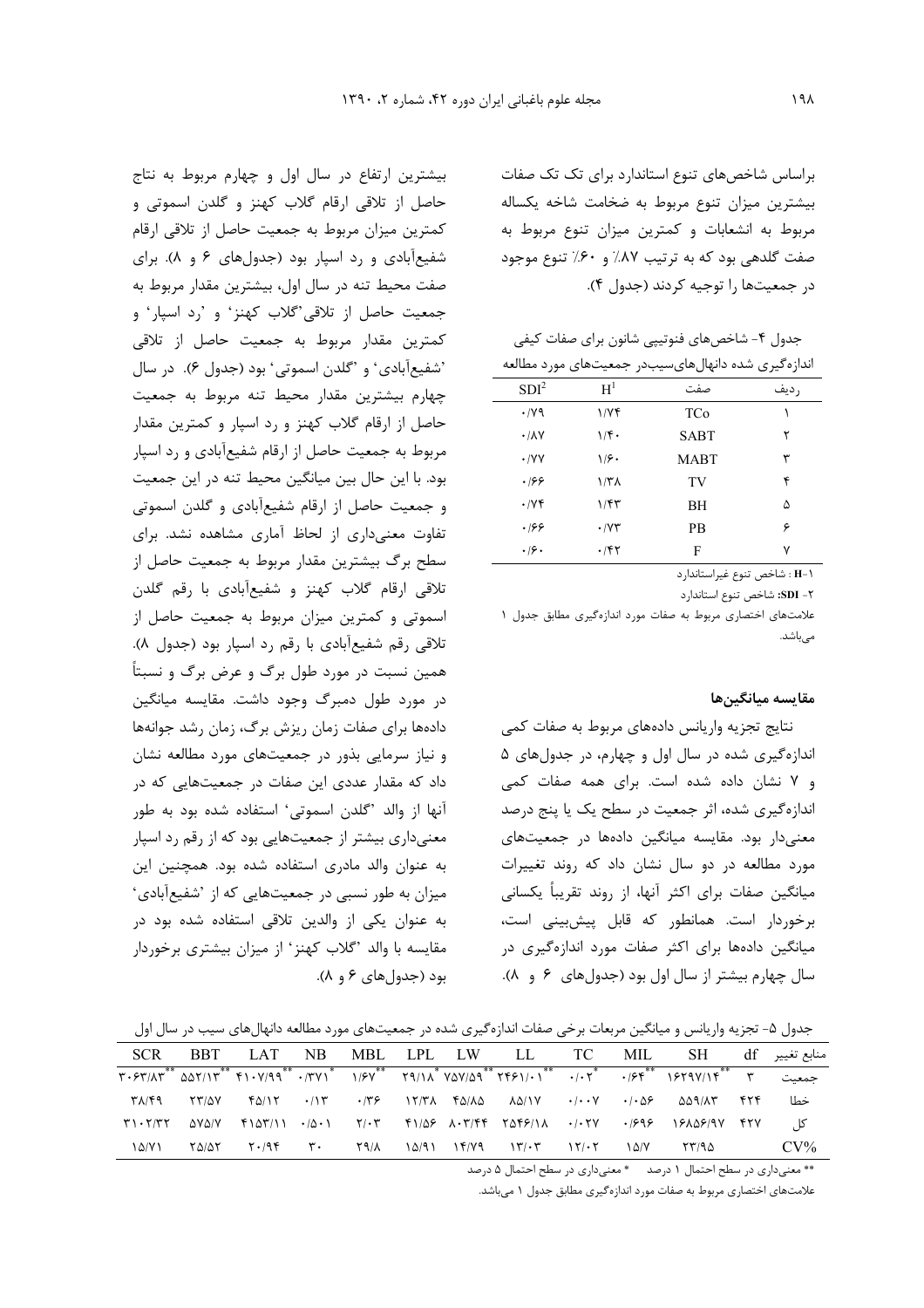براساس شاخصهای تنوع استاندارد برای تک تک صفات بیشترین میزان تنوع مربوط به ضخامت شاخه یکساله مربوط به انشعابات و کمترین میزان تنوع مربوط به صفت گلدهی بود که به ترتیب ۸۷٪ و ۶۰٪ تنوع موجود در جمعیتها را توجیه کردند (جدول ۴).

جدول ۴– شاخصهای فنوتیپی شانون برای صفات کیفی اندازهگیری شده دانهالهایسیبدر جمعیتهای مورد مطالعه

| SDI <sup>2</sup>            | $H^1$                | صفت         | ر ديف |
|-----------------------------|----------------------|-------------|-------|
| $\cdot$ /yq                 | 1/Yf                 | TCo         |       |
| $\cdot$ / $\lambda$ Y       | $1/f$ .              | <b>SABT</b> | ٢     |
| $\cdot$ /YY                 | ۱۶۰                  | MABT        | ٣     |
| .199                        | $1/T\Lambda$         | TV          | ۴     |
| $\cdot$ / $\vee$ $\uparrow$ | ۱/۴۳                 | BH          | ۵     |
| .199                        | $\cdot$ / $\vee\tau$ | PВ          | ۶     |
| .19.                        | $\cdot$ /۴۲          | F           | ٧     |

H-۱ : شاخص تنوع غيراستاندارد

۲- SDI: شاخص تنوع استاندارد

علامتهای اختصاری مربوط به صفات مورد اندازهگیری مطابق جدول ١ مے باشد.

#### مقايسه ميانگينها

نتايج تجزيه واريانس دادههاى مربوط به صفات كمى اندازهگیری شده در سال اول و چهارم، در جدولهای ۵ و ٧ نشان داده شده است. برای همه صفات کمی اندازهگیری شده، اثر جمعیت در سطح یک یا پنج درصد معنیدار بود. مقایسه میانگین دادهها در جمعیتهای مورد مطالعه در دو سال نشان داد که روند تغییرات میانگین صفات برای اکثر آنها، از روند تقریباً یکسانی برخوردار است. همانطور که قابل پیشبینی است، میانگین دادهها برای اکثر صفات مورد اندازهگیری در سال چهارم بیشتر از سال اول بود (جدولهای ۶ و ۸).

بیشترین ارتفاع در سال اول و چهارم مربوط به نتاج حاصل از تلاقی ارقام گلاب کهنز و گلدن اسموتی و كمترين ميزان مربوط به جمعيت حاصل از تلاقى ارقام شفیعآبادی و رد اسپار بود (جدولهای ۶ و ۸). برای صفت محیط تنه در سال اول، بیشترین مقدار مربوط به جمعيت حاصل از تلاقى گلاب كهنز و رد اسپار و كمترين مقدار مربوط به جمعيت حاصل از تلاقى 'شفيعآبادي' و 'گلدن اسموتي' بود (جدول ۶). در سال چهارم بیشترین مقدار محیط تنه مربوط به جمعیت حاصل از ارقام گلاب کهنز و رد اسپار و کمترین مقدار مربوط به جمعیت حاصل از ارقام شفیعآبادی و رد اسپار بود. با این حال بین میانگین محیط تنه در این جمعیت و جمعیت حاصل از ارقام شفیعآبادی و گلدن اسموتی تفاوت معنیداری از لحاظ آماری مشاهده نشد. برای سطح برگ بیشترین مقدار مربوط به جمعیت حاصل از تلاقی ارقام گلاب کهنز و شفیعآبادی با رقم گلدن اسموتی و کمترین میزان مربوط به جمعیت حاصل از تلاقی رقم شفیعآبادی با رقم رد اسپار بود (جدول ۸). همین نسبت در مورد طول برگ و عرض برگ و نسبتاً در مورد طول دمبرگ وجود داشت. مقایسه میانگین دادهها برای صفات زمان ریزش برگ، زمان رشد جوانهها و نیاز سرمایی بذور در جمعیتهای مورد مطالعه نشان داد که مقدار عددی این صفات در جمعیتهایی که در آنها از والد 'گلدن اسموتی' استفاده شده بود به طور معنیداری بیشتر از جمعیتهایی بود که از رقم رد اسپار به عنوان والد مادری استفاده شده بود. همچنین این میزان به طور نسبی در جمعیتهایی که از 'شفیعآبادی' به عنوان یکی از والدین تلاقی استفاده شده بود در مقایسه با والد 'گلاب کهنز' از میزان بیشتری برخوردار بود (جدولهای ۶ و ۸).

جدول ۵– تجزیه واریانس و میانگین مربعات برخی صفات اندازهگیری شده در جمعیتهای مورد مطالعه دانهالهای سیب در سال اول

|             |  |  |  |  | منابع تغيير SCR BBT LAT NB MBL LPL LW LL TC MIL SH df                                                                                                                                                                                                                                                                                                                                                                  |        |
|-------------|--|--|--|--|------------------------------------------------------------------------------------------------------------------------------------------------------------------------------------------------------------------------------------------------------------------------------------------------------------------------------------------------------------------------------------------------------------------------|--------|
|             |  |  |  |  | جمعيت ٣ * ٢/ ١/ ٣٠٤٣/٨٣ ** ٢٩/١٨ ** ٢٩/١٨ ** ٢٩/١٨ ** ٢٩/١٨ ** ٢٩/١٨ ** ٢٠/ ٣٠/ ٣٠/ ٣/ ٣٠/ ٣/ ٣٠/ ٣/                                                                                                                                                                                                                                                                                                                   |        |
| ۳۸/۴۹ ۲۳/۵۷ |  |  |  |  | $\mathcal{L}(\mathcal{N})$ $\mathcal{N}(\mathcal{N})$ $\mathcal{N}(\mathcal{N})$ $\mathcal{N}(\mathcal{N})$ $\mathcal{N}(\mathcal{N})$ $\mathcal{N}(\mathcal{N})$ $\mathcal{N}(\mathcal{N})$ $\mathcal{N}(\mathcal{N})$ $\mathcal{N}(\mathcal{N})$ $\mathcal{N}(\mathcal{N})$ $\mathcal{N}(\mathcal{N})$ $\mathcal{N}(\mathcal{N})$ $\mathcal{N}(\mathcal{N})$ $\mathcal{N}(\mathcal{N})$ $\mathcal{N}(\mathcal{$      | خطا    |
|             |  |  |  |  | $\Upsilon$ $\Upsilon$ $\Upsilon$ $\Upsilon$ $\Upsilon$ $\Upsilon$ $\Upsilon$ $\Upsilon$ $\Upsilon$ $\Upsilon$ $\Upsilon$ $\Upsilon$ $\Upsilon$ $\Upsilon$ $\Upsilon$ $\Upsilon$ $\Upsilon$ $\Upsilon$ $\Upsilon$ $\Upsilon$ $\Upsilon$ $\Upsilon$ $\Upsilon$ $\Upsilon$ $\Upsilon$ $\Upsilon$ $\Upsilon$ $\Upsilon$ $\Upsilon$ $\Upsilon$ $\Upsilon$ $\Upsilon$ $\Upsilon$ $\Upsilon$ $\Upsilon$ $\Upsilon$ $\Upsilon$ |        |
| 1 A/V 1     |  |  |  |  |                                                                                                                                                                                                                                                                                                                                                                                                                        | $CV\%$ |

\*\* معنیداری در سطح احتمال ۱ درصد \* معنیداری در سطح احتمال ۵ درصد

علامتهای اختصاری مربوط به صفات مورد اندازهگیری مطابق جدول ۱ میباشد.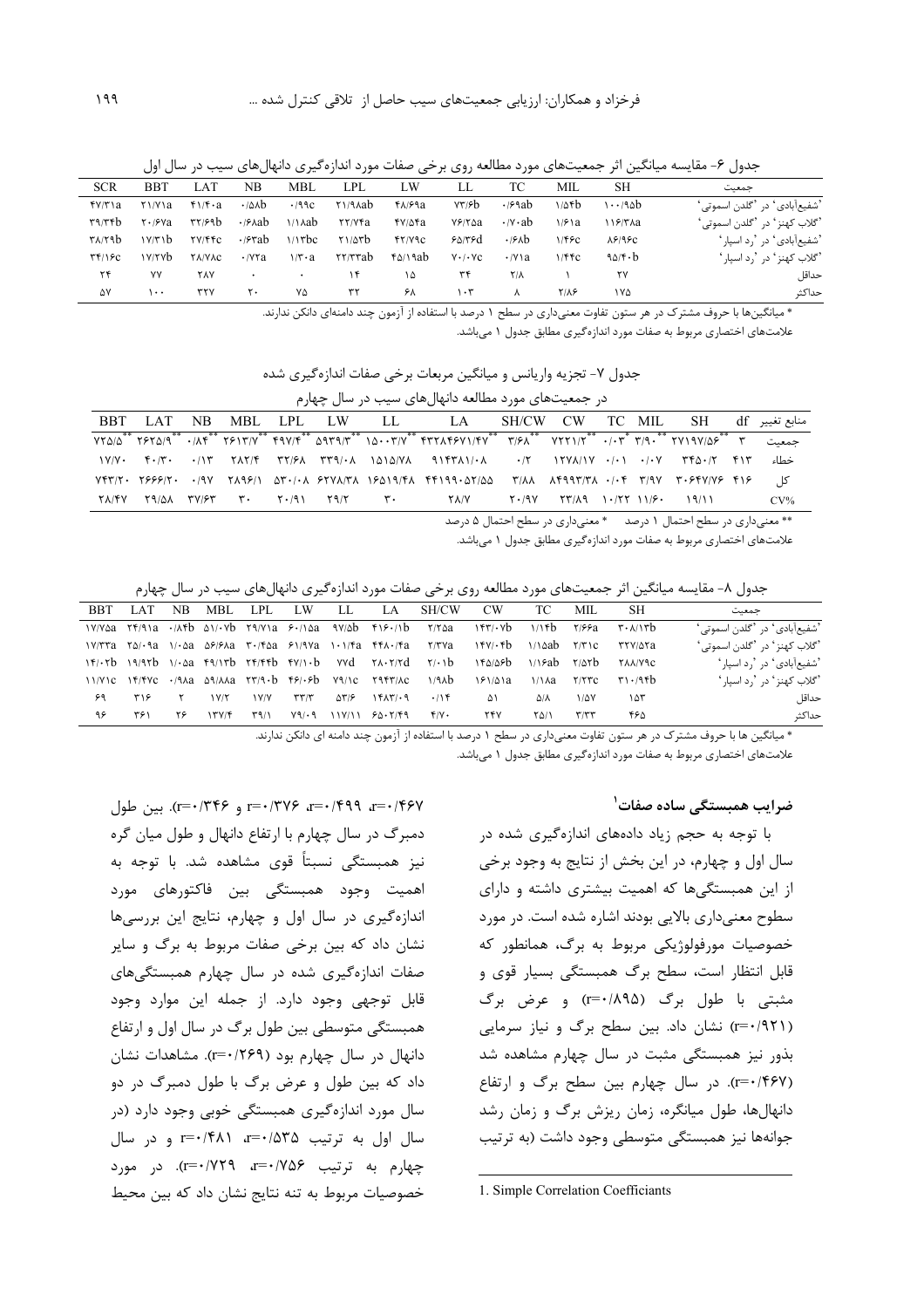جدول ۶– مقایسه میانگین اثر جمعیتهای مورد مطالعه روی برخی صفات مورد اندازهگیری دانهالهای سیب در سال اول

| <b>SCR</b>                                      | <b>BBT</b>                                | LAT           | NΒ                       | MBL                             | LPL                                            | LW            | LI.                  | ТC                       | MIL         | SН                   | حمعت                                                  |
|-------------------------------------------------|-------------------------------------------|---------------|--------------------------|---------------------------------|------------------------------------------------|---------------|----------------------|--------------------------|-------------|----------------------|-------------------------------------------------------|
| fV/T                                            | Y1/Y1a                                    | $f\$          | $\cdot$ / $\Delta$ Ab    | .199c                           | ۲۱/۹۸ab                                        | $f_A/f$ ۹a    | YY/5b                | $\cdot$ / $\epsilon$ 9ab | ۱٬۵۴b       | $1 \cdot \cdot$ /٩۵b | 'شفيع[َبادي' در 'گلدن اسموتي'                         |
| ۳۹/۳۴b                                          | $\mathsf{Y} \cdot \mathsf{P} \mathsf{Va}$ | ۳۲/۶۹b        | $\cdot$ / $\epsilon$ Aab | $\frac{1}{\lambda}$             | <b>TY/Vfa</b>                                  | FY/AFa        | $Y$ ۶/۲۵a            | $\cdot$ / $\cdot$ ab     | $1/8$ a     | ۱۱۶/۳۸a              | <sup>9</sup> گلاب كهنز ' در <sup>1</sup> گلدن اسموتى' |
| ۳۸/۲۹b                                          | $\frac{1}{\sqrt{2}}$                      | <b>TV/FFC</b> | $\cdot$ / $\epsilon$ rab | $1/1$ rbc                       | $Y1/2$ rb                                      | <b>FT/V9C</b> | 8000                 | .96b                     | $1/F$ ۶ $c$ | $\lambda$ ۶/۹۶ $c$   | 'شفیعآبادی' در 'رد اسپار'                             |
| $\mathbf{Y} \mathbf{Y} / \mathbf{S} \mathbf{C}$ | ۱۷/۲۷b                                    | <b>YA/VAC</b> | $\cdot$ / $\forall$ ra   | $1/\mathbf{r} \cdot \mathbf{a}$ | $\mathsf{Y}\mathsf{Y}/\mathsf{Y}\mathsf{Y}$ ab | ۴۵/۱۹ab       | $Y \cdot / \cdot YC$ | $\cdot$ /Y \ a           | 1/FFC       | $90/6 \cdot b$       | 'گلاب کهنز ' در ', د اسيا, '                          |
| ۲۴                                              | ٧٧                                        | ٢٨٧           | $\bullet$                | $\bullet$                       | ۱۴                                             | ۱۵            | ٣۴                   | $Y/\lambda$              |             | ٢٧                   | حداقل                                                 |
| ۵۷                                              | ۱۰۰                                       | ۳۲۷           | ٢٠                       | ٧۵                              | ۳۲                                             | ۶۸            | ۱۰۳                  |                          | <b>TIAS</b> | ۱۷۵                  | حداكث                                                 |
|                                                 |                                           |               |                          |                                 |                                                |               |                      |                          |             |                      |                                                       |

\* میانگینها با حروف مشترک در هر ستون تفاوت معنیداری در سطح ۱ درصد با استفاده از آزمون چند دامنهای دانکن ندارند.

علامتهای اختصاری مربوط به صفات مورد اندازهگیری مطابق جدول ۱ میباشد.

جدول ٧- تجزيه واريانس و ميانگين مربعات برخي صفات اندازهگيري شده

| در جمعیتهای مورد مطالعه دانهالهای سیب در سال چهارم |  |                |  |  |  |                                                                                                                                                                                                                                                                                                                                                                                                                 |  |  |  |  |                                                                                                                                                                                                                               |  |        |
|----------------------------------------------------|--|----------------|--|--|--|-----------------------------------------------------------------------------------------------------------------------------------------------------------------------------------------------------------------------------------------------------------------------------------------------------------------------------------------------------------------------------------------------------------------|--|--|--|--|-------------------------------------------------------------------------------------------------------------------------------------------------------------------------------------------------------------------------------|--|--------|
| BBT LAT NB                                         |  | - MBL LPL - LW |  |  |  |                                                                                                                                                                                                                                                                                                                                                                                                                 |  |  |  |  |                                                                                                                                                                                                                               |  |        |
|                                                    |  |                |  |  |  | <u>VYA/A*** Y۶۲A/9*** ۰/۸۴*** Y۶۲A/Y*** Aqvyf** ۱A۰۰۳/V*** ۲۷۲** Y/۶A*** VYY۱/Y*** ۰/۰۳** YY۱۹۷/A۶*** Y بحمعيت "YYA/A** Y۶۲A/A*** YY</u>                                                                                                                                                                                                                                                                        |  |  |  |  |                                                                                                                                                                                                                               |  |        |
|                                                    |  |                |  |  |  |                                                                                                                                                                                                                                                                                                                                                                                                                 |  |  |  |  |                                                                                                                                                                                                                               |  | خطاء   |
|                                                    |  |                |  |  |  |                                                                                                                                                                                                                                                                                                                                                                                                                 |  |  |  |  |                                                                                                                                                                                                                               |  | کا ِ   |
|                                                    |  |                |  |  |  | $\mathcal{X} \setminus \mathcal{Y}$ and $\mathcal{Y} \setminus \mathcal{Y}$ and $\mathcal{Y} \setminus \mathcal{Y}$ and $\mathcal{Y} \setminus \mathcal{Y}$ and $\mathcal{Y} \setminus \mathcal{Y}$ and $\mathcal{Y} \setminus \mathcal{Y}$ and $\mathcal{Y} \setminus \mathcal{Y}$ and $\mathcal{Y} \setminus \mathcal{Y}$ and $\mathcal{Y} \setminus \mathcal{Y}$ and $\mathcal{Y} \setminus \mathcal{Y}$ and |  |  |  |  |                                                                                                                                                                                                                               |  | $CV\%$ |
|                                                    |  |                |  |  |  |                                                                                                                                                                                                                                                                                                                                                                                                                 |  |  |  |  | and the contract the contract of the contract of the contract of the contract of the contract of the contract of the contract of the contract of the contract of the contract of the contract of the contract of the contract |  |        |

\* معنى دارى در سطح احتمال ١ درصد \* معنى دارى در سطح احتمال ۵ درصد

علامتهای اختصاری مربوط به صفات مورد اندازهگیری مطابق جدول ۱ میباشد.

جدول ۸- مقایسه میانگین اثر جمعیتهای مورد مطالعه روی برخی صفات مورد اندازهگیری دانهالهای سیب در سال چهارم

| حمعت                                                   | <b>SH</b>                                             | MIL                     | TC.    | CW                                                                                                                                                                                                                                                             | SH/CW                                                                                                                                                        | LA.                                                                                | -LL- | LW              | LPL  | MBL.  | NB. | LAT. | <b>BBT</b> |
|--------------------------------------------------------|-------------------------------------------------------|-------------------------|--------|----------------------------------------------------------------------------------------------------------------------------------------------------------------------------------------------------------------------------------------------------------------|--------------------------------------------------------------------------------------------------------------------------------------------------------------|------------------------------------------------------------------------------------|------|-----------------|------|-------|-----|------|------------|
| 'شفیعآبادی' در 'گلدن اسموتی'                           | $\mathbf{r} \cdot \mathbf{A} / \mathbf{I} \mathbf{r}$ |                         |        | ۱۴۳/۰۷b ۱/۱۴b ۲/۶۶a                                                                                                                                                                                                                                            | $Y/Y\triangle a$ $YY\triangle a \cdot (AYb \triangle Y)\cdot Yb$ $YY\triangle a \cdot Y\triangle a \cdot Y\triangle b \cdot Y\triangle a \cdot Y\triangle b$ |                                                                                    |      |                 |      |       |     |      |            |
| <sup>ف</sup> گلاب كهنز ' در <sup>ف</sup> گلدن اسموتى ' | ۳۲۷/۵۲a                                               |                         |        | $\frac{15}{15}$ $\frac{15}{10}$ $\frac{110}{10}$ $\frac{110}{10}$ $\frac{110}{10}$                                                                                                                                                                             | $V/T^2$ a $\zeta_0$ $\cdot$ a $V/\zeta_0$ a $\zeta_7$ $\zeta_1$ a $\zeta_1$ $\zeta_2$ a $\zeta_1$ $\zeta_2$ a $\zeta_1$ $\zeta_2$ a $\zeta_3$                |                                                                                    |      |                 |      |       |     |      |            |
| 'شفیعآبادی' در 'رد اسیار'                              | <b>TAA/V9C</b>                                        |                         |        | $Y_{t}$ $Y_{t}$ $Y_{t}$ $Y_{t}$ $Y_{t}$ $Y_{t}$ $Y_{t}$ $Y_{t}$ $Y_{t}$ $Y_{t}$ $Y_{t}$ $Y_{t}$ $Y_{t}$ $Y_{t}$ $Y_{t}$ $Y_{t}$ $Y_{t}$ $Y_{t}$ $Y_{t}$ $Y_{t}$ $Y_{t}$ $Y_{t}$ $Y_{t}$ $Y_{t}$ $Y_{t}$ $Y_{t}$ $Y_{t}$ $Y_{t}$ $Y_{t}$ $Y_{t}$ $Y_{t}$ $Y_{t$ |                                                                                                                                                              |                                                                                    |      |                 |      |       |     |      |            |
| <sup>و</sup> گلاب کهنز ٔ د <sub>ر ن</sub> د اسیار ٔ    | ۳۱۰/۹۴ $h$                                            | Y/5C                    | 1/1 Ла | 181/21a                                                                                                                                                                                                                                                        |                                                                                                                                                              | $11/Y1C$ $Y/FVC$ $-19Aa$ $\Delta$ 9/AAa $YY/3-b$ $F/3-b$ $Y9/1C$ $Y9FY/AC$ $1/9Ab$ |      |                 |      |       |     |      |            |
| حداقا .                                                | ۱۵۳                                                   | $1/\Delta V$            | ۵۱۸    | Δ١                                                                                                                                                                                                                                                             | .116                                                                                                                                                         | 1517/19                                                                            | ۵۳/۶ | $\tau\tau/\tau$ | V/Y  | 1V/T  |     | ۳۱۶  | ۶۹         |
| حداكثہ                                                 | ۴۶۵                                                   | $\mathbf{r}/\mathbf{r}$ | ۲۵/۱   | ۲۴۷                                                                                                                                                                                                                                                            | Y/Y                                                                                                                                                          | $Y9/-9$ $11Y/11$ $50.7/F9$                                                         |      |                 | ۳۹/۱ | 15Y/F | ۲۶  | ۳۶۱  | ۹۶         |
|                                                        |                                                       |                         |        |                                                                                                                                                                                                                                                                |                                                                                                                                                              |                                                                                    |      |                 |      |       |     |      |            |

\* میانگین ها با حروف مشترک در هر ستون تفاوت معنیداری در سطح ۱ درصد با استفاده از آزمون چند دامنه ای دانکن ندارند.

علامتهای اختصاری مربوط به صفات مورد اندازهگیری مطابق جدول ۱ می باشد.

#### ضرابب همبستگی ساده صفات ٔ

با توجه به حجم زیاد دادههای اندازهگیری شده در سال اول و چهارم، در این بخش از نتایج به وجود برخی از این همبستگی ها که اهمیت بیشتری داشته و دارای سطوح معنیداری بالایی بودند اشاره شده است. در مورد خصوصیات مورفولوژیکی مربوط به برگ، همانطور که قابل انتظار است، سطح برگ همبستگی بسیار قوی و مثبتی با طول برگ (r=٠/٨٩۵) و عرض برگ (r=۰/۹۲۱) نشان داد. بین سطح برگ و نیاز سرمایی بذور نیز همبستگی مثبت در سال چهارم مشاهده شد (r=٠/۴۶۷). در سال چهارم بین سطح برگ و ارتفاع دانهالها، طول میانگره، زمان ریزش برگ و زمان رشد جوانهها نیز همبستگی متوسطی وجود داشت (به ترتیب

r=۰/۳۲۶ (r=۰/۳۲۶ (r=۰/۳۲۶ و ۲۴۴). بين طول دمبرگ در سال چهارم با ارتفاع دانهال و طول میان گره نیز همبستگی نسبتاً قوی مشاهده شد. با توجه به اهمیت وجود همبستگی بین فاکتورهای مورد اندازهگیری در سال اول و چهارم، نتایج این بررسیها نشان داد که بین برخی صفات مربوط به برگ و سایر صفات اندازهگیری شده در سال چهارم همبستگیهای قابل توجهي وجود دارد. از جمله اين موارد وجود همبستگی متوسطی بین طول برگ در سال اول و ارتفاع دانهال در سال چهارم بود (٢٤٩/٢٣٩). مشاهدات نشان داد که بین طول و عرض برگ با طول دمبرگ در دو سال مورد اندازهگیری همبستگی خوبی وجود دارد (در سال اول به ترتیب a=۰/۴۸۱ (۲۰/۴۸۲ و در سال چهارم به ترتیب ۶۵۶/۰=۲، ۲۹/۰/۲۹). در مورد خصوصیات مربوط به تنه نتایج نشان داد که بین محیط

<sup>1.</sup> Simple Correlation Coefficiants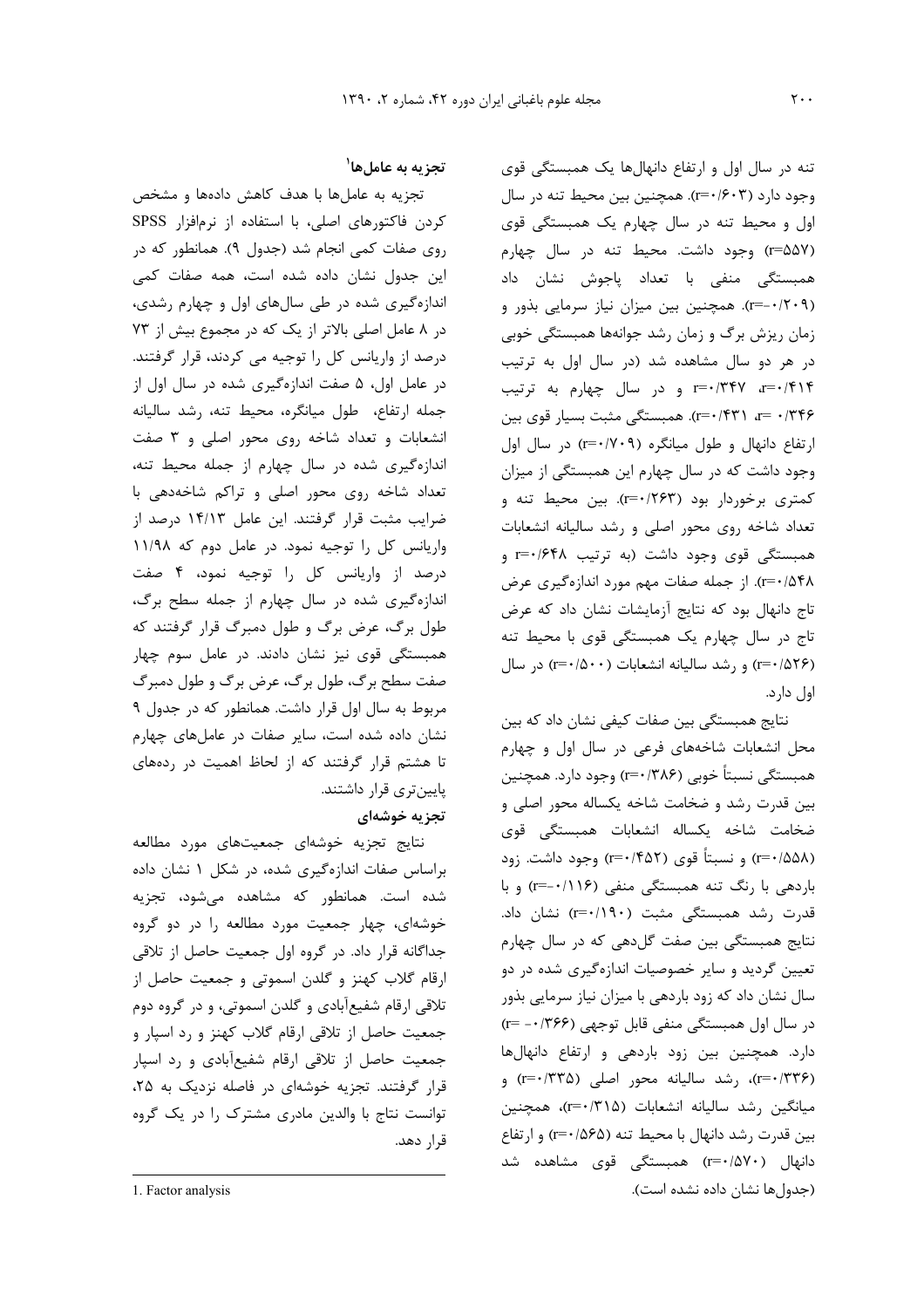تنه در سال اول و ارتفاع دانهالها یک همبستگی قوی وجود دارد (۳۰/۶۰۳). همچنین بین محیط تنه در سال اول و محیط تنه در سال چهارم یک همبستگی قوی (r=۵۵۷) وجود داشت. محیط تنه در سال چهارم همبستگی منفی با تعداد پاجوش نشان داد (r=-۰/۲۰۹). همچنین بین میزان نیاز سرمایی بذور و زمان ریزش برگ و زمان رشد جوانهها همبستگی خوبی در هر دو سال مشاهده شد (در سال اول به ترتیب T=٠/۴۱۴ تا r=٠/٣۴٧ و در سال چهارم به ترتیب r=۰/۳۴۶ همبستگی مثبت بسیار قوی بین (r=۰/۴۳۱ ارتفاع دانهال و طول میانگره (۲۰۹–۲) در سال اول وجود داشت که در سال چهارم این همبستگی از میزان کمتری برخوردار بود (r=۰/۲۶۳). بین محیط تنه و تعداد شاخه روی محور اصلی و رشد سالیانه انشعابات همبستگی قوی وجود داشت (به ترتیب r=۰/۶۴۸ و r=۰/۵۴۸). از جمله صفات مهم مورد اندازهگیری عرض تاج دانهال بود که نتایج آزمایشات نشان داد که عرض تاج در سال چهارم یک همبستگی قوی با محیط تنه (r=٠/۵٢۶) و رشد ساليانه انشعابات (٢-٠/٥٠٠) در سال اول دارد.

نتایج همبستگی بین صفات کیفی نشان داد که بین محل انشعابات شاخههای فرعی در سال اول و چهارم همبستگی نسبتاً خوبی (۳۸۶/ r=۰) وجود دارد. همچنین بین قدرت رشد و ضخامت شاخه یکساله محور اصلی و ضخامت شاخه یکساله انشعابات همبستگی قوی (۲=۰/۵۵۸) و نسبتاً قوی (۲۵۲–۲) وجود داشت. زود باردهی با رنگ تنه همبستگی منفی (۱۱۶–۲=۰) و با قدرت رشد همبستگی مثبت (۲=۰/۱۹۰) نشان داد. نتایج همبستگی بین صفت گلدهی که در سال چهارم تعیین گردید و سایر خصوصیات اندازهگیری شده در دو سال نشان داد که زود باردهی با میزان نیاز سرمایی بذور در سال اول همبستگی منفی قابل توجهی (۲۶۶)۰۰– r= دارد. همچنین بین زود باردهی و ارتفاع دانهالها (r=٠/٣٣٤)، رشد ساليانه محور اصلي (r=٠/٣٣۵) و میانگین رشد سالیانه انشعابات (۲۱۵×+r=)، همچنین  $\mathfrak{g}$ ا بین قدرت رشد دانهال با محیط تنه (۵۶۵/ $\mathfrak{f} = \mathfrak{f}$  و ارتفاع دانهال (۲=۰/۵۷۰) همبستگی قوی مشاهده شد (جدولها نشان داده نشده است).

# تجزيه به عاملها<sup>\</sup>

تجزیه به عاملها با هدف کاهش دادهها و مشخص کردن فاکتورهای اصلی، با استفاده از نرمافزار SPSS روی صفات کمی انجام شد (جدول ۹). همانطور که در این جدول نشان داده شده است، همه صفات کمی اندازهگیری شده در طی سالهای اول و چهارم رشدی، در ۸ عامل اصلی بالاتر از یک که در مجموع بیش از ۷۳ درصد از واریانس کل را توجیه می کردند، قرار گرفتند. در عامل اول، ۵ صفت اندازهگیری شده در سال اول از جمله ارتفاع، طول میانگره، محیط تنه، رشد سالیانه انشعابات و تعداد شاخه روی محور اصلی و ۳ صفت اندازهگیری شده در سال چهارم از جمله محیط تنه، تعداد شاخه روی محور اصلی و تراکم شاخهدهی با ضرایب مثبت قرار گرفتند. این عامل ۱۴/۱۳ درصد از واریانس کل را توجیه نمود. در عامل دوم که ۱۱/۹۸ درصد از واریانس کل را توجیه نمود، ۴ صفت اندازهگیری شده در سال چهارم از جمله سطح برگ، طول برگ، عرض برگ و طول دمبرگ قرار گرفتند که همبستگی قوی نیز نشان دادند. در عامل سوم چهار صفت سطح برگ، طول برگ، عرض برگ و طول دمبرگ مربوط به سال اول قرار داشت. همانطور که در جدول ۹ نشان داده شده است، سایر صفات در عاملهای چهارم تا هشتم قرار گرفتند که از لحاظ اهمیت در ردههای پایینتری قرار داشتند. تجزیه خوشهای

نتايج تجزيه خوشهاى جمعيتهاى مورد مطالعه براساس صفات اندازهگیری شده، در شکل ۱ نشان داده شده است. همانطور که مشاهده میشود، تجزیه خوشهای، چهار جمعیت مورد مطالعه را در دو گروه جداگانه قرار داد. در گروه اول جمعیت حاصل از تلاقی ارقام گلاب کهنز و گلدن اسموتی و جمعیت حاصل از تلاقی ارقام شفیعآبادی و گلدن اسموتی، و در گروه دوم جمعیت حاصل از تلاقی ارقام گلاب کهنز و رد اسپار و جمعیت حاصل از تلاقی ارقام شفیعآبادی و رد اسپار قرار گرفتند. تجزیه خوشهای در فاصله نزدیک به ۲۵، توانست نتاج با والدین مادری مشترک را در یک گروه قرار دهد.

<sup>1.</sup> Factor analysis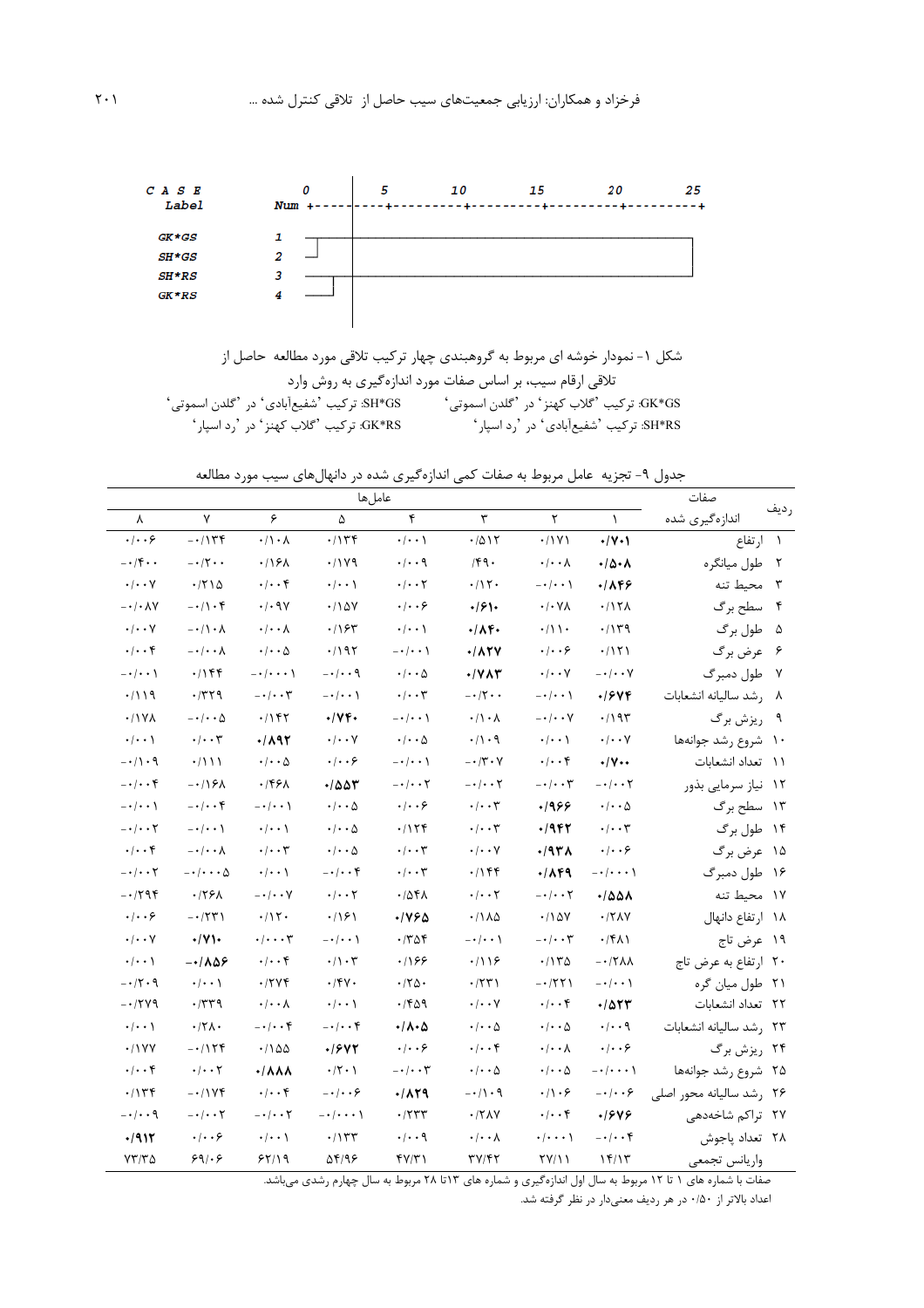

|                                           | شکل ۱- نمودار خوشه ای مربوط به گروهبندی چهار ترکیب تلاقی مورد مطالعه حاصل از |
|-------------------------------------------|------------------------------------------------------------------------------|
|                                           | تلاقی ارقام سیب، بر اساس صفات مورد اندازهگیری به روش وارد                    |
| SH*GS: تركيب 'شفيعآبادي' در 'گلدن اسموتي' | GK*GS: تركيب 'گلاب كهنز ' در 'گلدن اسموتى '                                  |
| GK*RS: ترکیب 'گلاب کهنز' در 'رد اسپار'    | SH*RS: تركيب 'شفيع آبادي' در 'رد اسپار'                                      |

جدول ۹- تجزیه عامل مربوط به صفات کمی اندازهگیری شده در دانهالهای سیب مورد مطالعه

|                                        |                                |                                    | صفات                             |                                   |                                  |                                  |                                  |                          |              |
|----------------------------------------|--------------------------------|------------------------------------|----------------------------------|-----------------------------------|----------------------------------|----------------------------------|----------------------------------|--------------------------|--------------|
| λ                                      | $\mathsf{v}$                   | ۶                                  | ۵                                | ۴                                 | ٣                                | ٢                                | $\lambda$                        | اندازهگیری شده           | رديف         |
| .  . . 9                               | $-1156$                        | $\cdot/\rightarrow \rightarrow$    | .715                             | $\cdot/\cdot\cdot$                | .7015                            | .71Y1                            | $\cdot/\gamma \cdot$             | ۱ ارتفاع                 |              |
| $- \cdot / \mathfrak{f} \cdot \cdot$   | $- \cdot 7 \cdot \cdot$        | .79A                               | .7199                            | $\cdot/\cdot\cdot$ 9              | 14.                              | $\cdot/\cdot\cdot\lambda$        | $\cdot/\Delta \cdot \Lambda$     | طول ميانگره              | $\mathsf{r}$ |
| $\cdot/\cdot\cdot$ Y                   | .7710                          | $\cdot/\cdot\cdot$ ۴               | $\cdot/\cdot\cdot$               | $\cdot$ / $\cdot$ $\cdot$ $\cdot$ | $\cdot/\prime$ $\cdot$           | $-\cdot/\cdot\cdot$              | .1846                            | محيط تنه                 | $\mathsf{r}$ |
| -•/•۸۷                                 | $-1$                           | $\cdot$ / $\cdot$ 9Y               | .110Y                            | ۰/۰۰۶                             | $\cdot$ /61.                     | $\cdot/\cdot$ Y $\wedge$         | .717 <sub>A</sub>                | ۴ سطح برگ                |              |
| $\cdot/\cdot\cdot$ Y                   | $-\cdot/\cdot \wedge$          | $\cdot/\cdot\cdot\lambda$          | .195                             | $\cdot/\cdot\cdot$                | $\cdot/\Lambda f$                | $\cdot/\rightarrow$              | .714                             | ۵ طول برگ                |              |
| $\cdot/\cdot\cdot$ ۴                   | $-\cdot/\cdot \cdot \wedge$    | $\cdot$ / $\cdot$ $\Delta$         | .797                             | $-\cdot/\cdot\cdot$ )             | $\cdot$ / $\wedge$ ۲۷            | $\cdot$ / $\cdot$ ۶              | .7151                            | ۶۔ عرض برگ               |              |
| $- \cdot / \cdot \cdot$ )              | ۰/۱۴۴                          | $- \cdot / \cdot \cdot \cdot$ )    | $-\cdot/\cdot\cdot$ ٩            | $\cdot$ / $\cdot$ ۵               | ۰/۷۸۳                            | $\cdot$ / $\cdot$ $\cdot$ $\vee$ | $-\cdot/\cdot\cdot$ Y            | ۷۔ طول دمبرگ             |              |
| ۱۱۹/۰                                  | $\cdot$ /۳۲۹                   | $- \cdot / \cdot \cdot \mathsf{r}$ | $-\cdot/\cdot \cdot$             | $\cdot/\cdot\cdot$ ۳              | $- \cdot / \cdot \cdot$          | $- \cdot / \cdot \cdot$ \        | 7741.                            | ۸ رشد ساليانه انشعابات   |              |
| .11Y                                   | $-\cdot/\cdot\cdot\Delta$      | $\cdot$ / ۱۴۲                      | $\cdot/\gamma$ ۴۰                | $- \cdot \cdot \cdot$             | $\cdot/\rightarrow \lambda$      | $-\cdot$ / $\cdot\cdot$ $\vee$   | $\cdot$ /19٣                     | ريزش برگ                 |              |
| $\cdot/\cdot\cdot$                     | $\cdot/\cdot\cdot\tau$         | 1892                               | $\cdot/\cdot\cdot$ Y             | $\cdot/\cdot\cdot\Delta$          | $\cdot/\cdot$ 9                  | $\cdot/\cdot\cdot$               | $\cdot/\cdot\cdot$ Y             | ۱۰ شروع رشد جوانهها      |              |
| $- \cdot / \cdot \mathcal{A}$          | $\cdot/111$                    | $\cdot$ / $\cdot$ $\Delta$         | $\cdot$ / $\cdot$ ۶              | $-\cdot/\cdot\cdot$ )             | $- \cdot / \tau \cdot V$         | $\cdot/\cdot\cdot$ ۴             | $\cdot/\mathsf{V}\cdots$         | ۱۱ تعداد انشعابات        |              |
| $-\cdot$ / $\cdot$ ۴                   | -0168                          | ۰/۴۶۸                              | 7۵۵۳                             | $-\cdot$ / $\cdot$ ۲              | $-\cdot/\cdot\cdot$ ۲            | $-\cdot/\cdot\cdot \tau$         | $-\cdot/\cdot\cdot$ ۲            | ۱۲ نیاز سرمایی بذور      |              |
| $-\cdot$ / $\cdot$ $\cdot$ $\setminus$ | $-\cdot/\cdot\cdot f$          | $-\cdot/\cdot\cdot$ )              | $\cdot/\cdot\cdot\Delta$         | ۰/۰۰۶                             | $\cdot/\cdot\cdot$ ۳             | 9۶۶.                             | $\cdot/\cdot\cdot\Delta$         | ۱۳ سطح برگ               |              |
| $- \cdot / \cdot \cdot 7$              | $-\cdot/\cdot\cdot$            | $\cdot/\cdot\cdot$                 | $\cdot/\cdot\cdot\Delta$         | ۰/۱۲۴                             | $\cdot$ / $\cdot$ $\tau$         | $\cdot$ /942                     | $\cdot/\cdot\cdot\tau$           | ۱۴ طول برگ               |              |
| $\cdot/\cdot\cdot$ ۴                   | $-\cdot/\cdot \cdot \wedge$    | $\cdot/\cdot\cdot\tau$             | $\cdot/\cdot\cdot\Delta$         | $\cdot/\cdot\cdot$ ۳              | $\cdot$ / $\cdot$ $\vee$         | $\cdot$ /9٣٨                     | $\cdot$ $ \cdot$ $\cdot$ $\succ$ | ۱۵ عرض برگ               |              |
| $-\cdot$ / $\cdot$ ۲                   | $-\cdot/\cdot\cdot\cdot\Delta$ | $\cdot/\cdot\cdot$ \               | $-\cdot$ / $\cdot$ ۴             | $\cdot$ / $\cdot$ $\uparrow$      | ۰/۱۴۴                            | <b>./149</b>                     | $- \cdot / \cdot \cdot \cdot$ )  | ۱۶ طول دمبرگ             |              |
| -01794                                 | .779A                          | $-\cdot$ / $\cdot\cdot$ Y          | $\cdot/\cdot\cdot$ ۲             | ۰/۵۴۸                             | $\cdot$ / $\cdot$ $\cdot$ $\tau$ | $-\cdot/\cdot\cdot$ ۲            | ۰۱۵۵۸                            | ۱۷ محیط تنه              |              |
| $\cdot$ / $\cdot$ ۶                    | $-1771$                        | ۰/۱۲۰                              | .799                             | ۰/۷۶۵                             | $\cdot$ /1 $\lambda$ $\Delta$    | $\cdot$ /18 $V$                  | $\cdot$ /٢٨٧                     | ١٨ ارتفاع دانهال         |              |
| $\cdot/\cdot\cdot$ Y                   | $\cdot/\gamma$ .               | $\cdot/\cdot\cdot\tau$             | $-\cdot/\cdot$ $\cdot$ \         | $\cdot$ /۳۵۴                      | $-\cdot/\cdot\cdot$              | $-\cdot/\cdot\cdot \mathsf{y}$   | $\cdot$ /۴۸۱                     | ۱۹ عرض تاج               |              |
| $\cdot/\cdot\cdot$ )                   | $-1108$                        | $\cdot/\cdot\cdot$ ۴               | $\cdot/\cdot$ ۳                  | .199                              | .719                             | ۱۱۳۵.                            | $-17\lambda$                     | ۲۰ ارتفاع به عرض تاج     |              |
| $-\cdot$ ۲۰۹                           | $\cdot/\cdot\cdot$             | ۰/۲۷۴                              | $\cdot$ /۴۷ $\cdot$              | $\cdot$ /٢۵.                      | ۰/۲۳۱                            | $-1771$                          | $-\cdot/\cdot\cdot$ )            | ۲۱ طول میان گره          |              |
| -01779                                 | $\cdot$ /۳۳۹                   | ۰/۰۰۸                              | $\cdot/\cdot\cdot$               | ۰/۴۵۹                             | $\cdot/\cdot\cdot$ Y             | $\cdot/\cdot\cdot$ ۴             | $\cdot$ / 523                    | ۲۲ تعداد انشعابات        |              |
| $\cdot/\cdot\cdot$ \                   | $\cdot$ /٢ $\wedge$ .          | $-\cdot/\cdot\cdot$ ۴              | $-\cdot/\cdot\cdot f$            | ۰/۸۰۵                             | $\cdot$ / $\cdot$ $\Delta$       | $\cdot$ / $\cdot$ ۵              | $\cdot/\cdot\cdot$ 9             | ٢٣ رشد ساليانه انشعابات  |              |
| .11YY                                  | $-1158$                        | ۱۵۵۰/۰                             | 1642                             | $\cdot$ $ \cdot$ $\cdot$ $\circ$  | $\cdot/\cdot\cdot$ ۴             | $\cdot$ / $\cdot$ $\wedge$       | $\cdot$ $ \cdot$ $\cdot$ $\circ$ | ۲۴ ریزش برگ              |              |
| $\cdot/\cdot\cdot$ ۴                   | $\cdot/\cdot\cdot$ ٢           | <b>./^^^</b>                       | $\cdot$ /۲ $\cdot$ )             | $-\cdot/\cdot\cdot \tau$          | $\cdot$ / $\cdot$ $\Delta$       | $\cdot$ / $\cdot$ $\Delta$       | $- \cdot / \cdot \cdot \cdot$    | ۲۵ - شروع رشد جوانهها    |              |
| .7156                                  | -0174                          | $\cdot$ / $\cdot$ ۴                | $-\cdot \mid \cdot \cdot \infty$ | $\cdot$ /129                      | $-\cdot/\setminus\cdot$ ۹        | $\cdot/\rangle \cdot$ ۶          | $-\cdot/\cdot\cdot$ ۶            | ۲۶ رشد سالیانه محور اصلی |              |
| $-\cdot$ । $\cdot$ - १                 | $-\cdot/\cdot\cdot$ ٢          | $-\cdot$ / $\cdot$ ۲               | $- \cdot / \cdot \cdot \cdot$    | $\cdot$ /۲۳۳                      | $\cdot$ /۲۸۷                     | $\cdot$ / $\cdot$ ۴              | .1848                            | ۲۷ تراکم شاخهدهی         |              |
| $\cdot$ /912                           | $\cdot$ / $\cdot$ ۶            | $\cdot$ / $\cdot$ )                | .7157                            | $\cdot/\cdot\cdot$ 9              | $\cdot/\cdot\cdot\lambda$        | <b>・/・・・</b> \                   | $- \cdot / \cdot \cdot f$        | ۲۸ تعداد پاجوش           |              |
| ۲۳/۳۵                                  | ۶۹۱۰۶                          | 55/19                              | 54/96                            | ۴۷/۳۱                             | 31147                            | 77/11                            | 15/15                            | واريانس تجمعي            |              |

صفات با شماره های ۱ تا ۱۲ مربوط به سال اول اندازهگیری و شماره های ۱۳تا ۲۸ مربوط به سال چهارم رشدی می باشد.

اعداد بالاتر از ۰/۵۰ در هر رديف معنىدار در نظر گرفته شد.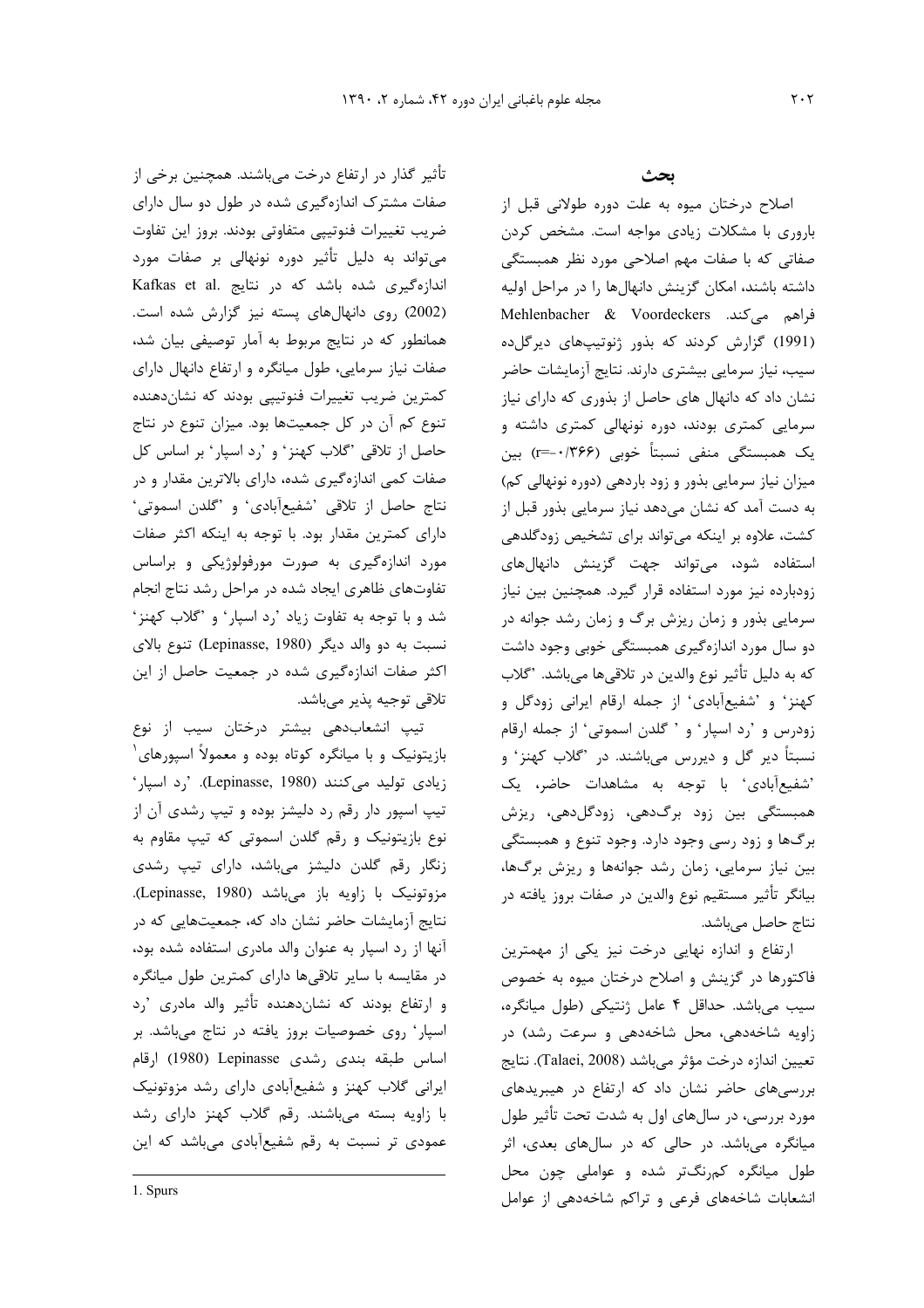تأثیر گذار در ارتفاع درخت میباشند. همچنین برخی از صفات مشترک اندازهگیری شده در طول دو سال دارای ضریب تغییرات فنوتیپی متفاوتی بودند. بروز این تفاوت میتواند به دلیل تأثیر دوره نونهالی بر صفات مورد اندازهگیری شده باشد که در نتایج .Kafkas et al (2002) روی دانهال های پسته نیز گزارش شده است. همانطور که در نتایج مربوط به آمار توصیفی بیان شد، صفات نیاز سرمایی، طول میانگره و ارتفاع دانهال دارای کمترین ضریب تغییرات فنوتیپی بودند که نشاندهنده تنوع کم آن در کل جمعیتها بود. میزان تنوع در نتاج حاصل از تلاقی 'گلاب کهنز' و 'رد اسپار' بر اساس کل صفات کمی اندازهگیری شده، دارای بالاترین مقدار و در نتاج حاصل از تلاقى 'شفيع آبادى' و 'گلدن اسموتى' دارای کمترین مقدار بود. با توجه به اینکه اکثر صفات مورد اندازهگیری به صورت مورفولوژیکی و براساس تفاوتهای ظاهری ایجاد شده در مراحل رشد نتاج انجام شد و با توجه به تفاوت زياد 'رد اسپار' و 'گلاب كهنز' نسبت به دو والد ديگر (Lepinasse, 1980) تنوع بالاي اکثر صفات اندازهگیری شده در جمعیت حاصل از این تلاقي توجيه پذير ميباشد.

تیپ انشعابدهی بیشتر درختان سیب از نوع بازیتونیک و با میانگره کوتاه بوده و معمولاً اسپورهای ٔ زیادی تولید می کنند (Lepinasse, 1980). ',د اسپار' تیپ اسپور دار رقم رد دلیشز بوده و تیپ رشدی آن از نوع بازیتونیک و رقم گلدن اسموتی که تیپ مقاوم به زنگار رقم گلدن دلیشز میباشد، دارای تیپ رشدی مزوتونيک با زاويه باز مىباشد (Lepinasse, 1980). نتایج آزمایشات حاضر نشان داد که، جمعیتهایی که در آنها از رد اسپار به عنوان والد مادری استفاده شده بود، در مقایسه با سایر تلاقیها دارای کمترین طول میانگره و ارتفاع بودند که نشاندهنده تأثیر والد مادری 'رد اسپار وی خصوصیات بروز یافته در نتاج میباشد. بر اساس طبقه بندى رشدى Lepinasse (1980) ارقام ایرانی گلاب کهنز و شفیعآبادی دارای رشد مزوتونیک با زاویه بسته میباشند. رقم گلاب کهنز دارای رشد عمودی تر نسبت به رقم شفیعآبادی میباشد که این

1. Spurs

#### ىحث

اصلاح درختان میوه به علت دوره طولانی قبل از باروری با مشکلات زیادی مواجه است. مشخص کردن صفاتی که با صفات مهم اصلاحی مورد نظر همبستگی داشته باشند، امكان گزينش دانهالها را در مراحل اوليه فراهم میکند. Mehlenbacher & Voordeckers (1991) گزارش کردند که بذور ژنوتیپهای دیرگلده سیب، نیاز سرمایی بیشتری دارند. نتایج آزمایشات حاضر نشان داد که دانهال های حاصل از بذوری که دارای نیاز سرمایی کمتری بودند، دوره نونهالی کمتری داشته و یک همبستگی منفی نسبتاً خوبی (۲۶۶--=r) بین میزان نیاز سرمایی بذور و زود باردهی (دوره نونهالی کم) به دست آمد که نشان میدهد نیاز سرمایی بذور قبل از کشت، علاوه بر اینکه می تواند برای تشخیص زودگلدهی استفاده شود، میتواند جهت گزینش دانهالهای زودبارده نیز مورد استفاده قرار گیرد. همچنین بین نیاز سرمایی بذور و زمان ریزش برگ و زمان رشد جوانه در دو سال مورد اندازهگیری همبستگی خوبی وجود داشت كه به دليل تأثير نوع والدين در تلاقيها مي باشد. 'گلاب کهنز' و 'شفیعآبادی' از جمله ارقام ایرانی زودگل و زودرس و 'رد اسپار' و 'گلدن اسموتی' از جمله ارقام نسبتاً دیر گل و دیررس میباشند. در 'گلاب کهنز' و 'شفيع آبادي' با توجه به مشاهدات حاضر، يک همبستگی بین زود برگدهی، زودگلدهی، ریزش برگها و زود رسی وجود دارد. وجود تنوع و همبستگی بین نیاز سرمایی، زمان رشد جوانهها و ریزش برگها، بيانگر تأثير مستقيم نوع والدين در صفات بروز يافته در نتاج حاصل میباشد.

ارتفاع و اندازه نهایی درخت نیز یکی از مهمترین فاکتورها در گزینش و اصلاح درختان میوه به خصوص سیب میباشد. حداقل ۴ عامل ژنتیکی (طول میانگره، زاویه شاخهدهی، محل شاخهدهی و سرعت رشد) در تعيين اندازه درخت مؤثر مي باشد (Talaei, 2008). نتايج بررسیهای حاضر نشان داد که ارتفاع در هیبریدهای مورد بررسی، در سالهای اول به شدت تحت تأثیر طول میانگره میباشد. در حالی که در سالهای بعدی، اثر طول میانگره کمرنگتر شده و عواملی چون محل انشعابات شاخههای فرعی و تراکم شاخهدهی از عوامل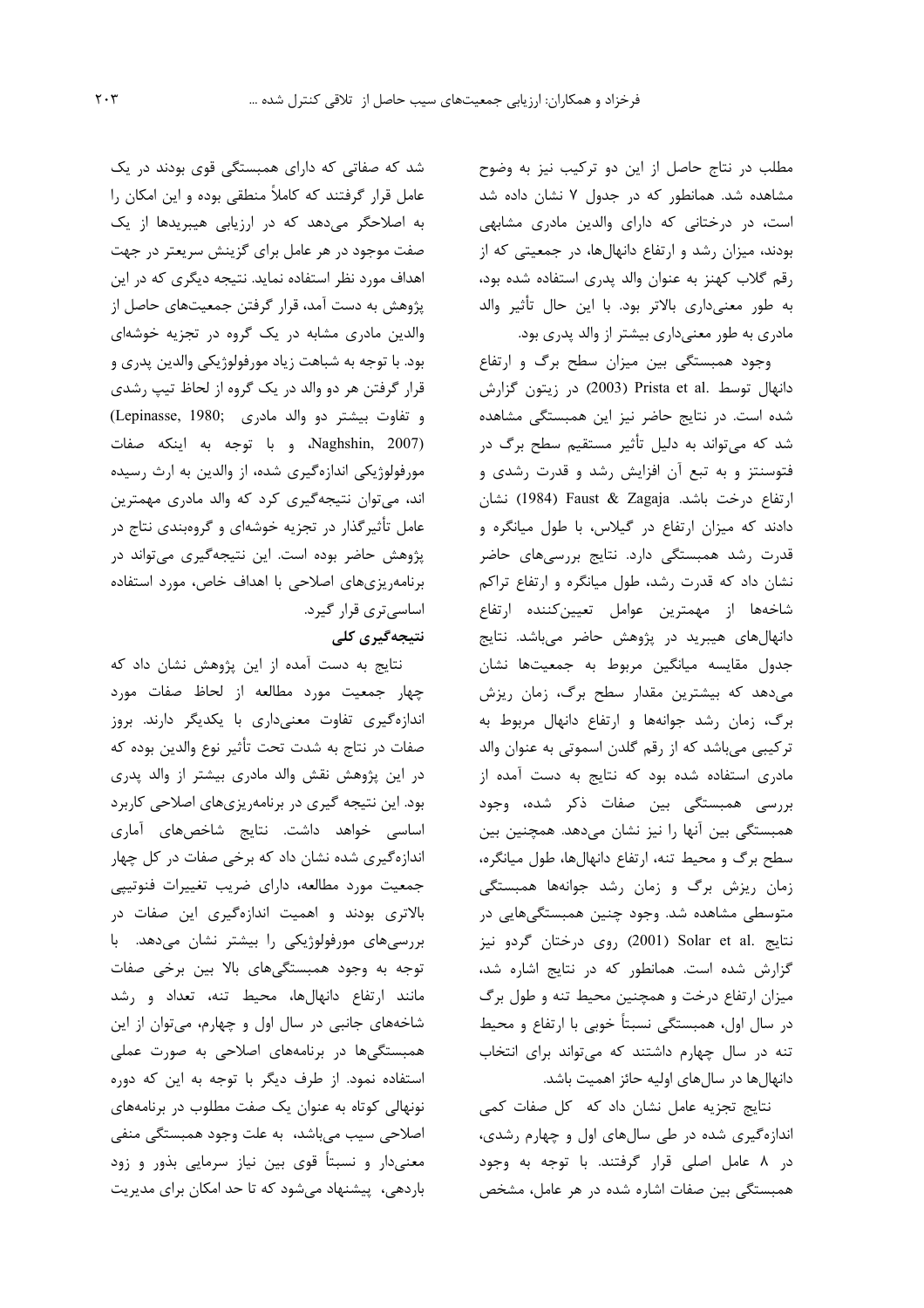مطلب در نتاج حاصل از این دو ترکیب نیز به وضوح مشاهده شد. همانطور که در جدول ۷ نشان داده شد است، در درختانی که دارای والدین مادری مشابهی بودند، میزان رشد و ارتفاع دانهالها، در جمعیتی که از رقم گلاب کهنز به عنوان والد پدری استفاده شده بود، به طور معنىدارى بالاتر بود. با اين حال تأثير والد مادری به طور معنیداری بیشتر از والد پدری بود.

وجود همبستگی بین میزان سطح برگ و ارتفاع دانهال توسط .Prista et al (2003) در زيتون گزارش شده است. در نتایج حاضر نیز این همبستگی مشاهده شد که میتواند به دلیل تأثیر مستقیم سطح برگ در فتوسنتز و به تبع آن افزایش رشد و قدرت رشدی و ارتفاع درخت باشد. Faust & Zagaja (1984) نشان دادند که میزان ارتفاع در گیلاس، با طول میانگره و قدرت رشد همبستگی دارد. نتایج بررسیهای حاضر نشان داد که قدرت رشد، طول میانگره و ارتفاع تراکم شاخهها از مهمترین عوامل تعیینکننده ارتفاع دانهالهای هیبرید در پژوهش حاضر میباشد. نتایج جدول مقايسه ميانگين مربوط به جمعيتها نشان میدهد که بیشترین مقدار سطح برگ، زمان ریزش برگ، زمان رشد جوانهها و ارتفاع دانهال مربوط به ترکیبی میباشد که از رقم گلدن اسموتی به عنوان والد مادری استفاده شده بود که نتایج به دست آمده از بررسی همبستگی بین صفات ذکر شده، وجود همبستگی بین آنها را نیز نشان میدهد. همچنین بین سطح برگ و محیط تنه، ارتفاع دانهالها، طول میانگره، زمان ریزش برگ و زمان رشد جوانهها همبستگی متوسطی مشاهده شد. وجود چنین همبستگیهایی در نتايج .Solar et al (2001) روى درختان گردو نيز گزارش شده است. همانطور که در نتایج اشاره شد، میزان ارتفاع درخت و همچنین محیط تنه و طول برگ در سال اول، همبستگی نسبتاً خوبی با ارتفاع و محیط تنه در سال چهارم داشتند که می تواند برای انتخاب دانهال ها در سال های اولیه حائز اهمیت باشد.

نتایج تجزیه عامل نشان داد که کل صفات کمی اندازهگیری شده در طی سالهای اول و چهارم رشدی، در ۸ عامل اصلی قرار گرفتند. با توجه به وجود همبستگی بین صفات اشاره شده در هر عامل، مشخص

شد که صفاتی که دارای همبستگی قوی بودند در یک عامل قرار گرفتند که کاملاً منطقی بوده و این امکان را به اصلاحگر میدهد که در ارزیابی هیبریدها از یک صفت موجود در هر عامل برای گزینش سریعتر در جهت اهداف مورد نظر استفاده نماید. نتیجه دیگری که در این پژوهش به دست آمد، قرار گرفتن جمعیتهای حاصل از والدین مادری مشابه در یک گروه در تجزیه خوشهای بود. با توجه به شباهت زياد مورفولوژيكي والدين پدري و قرار گرفتن هر دو والد در یک گروه از لحاظ تیپ رشدی و تفاوت بيشتر دو والد مادرى (Lepinasse, 1980; Naghshin, 2007) وبا توجه به اينكه صفات مورفولوژیکی اندازهگیری شده، از والدین به ارث رسیده اند، میتوان نتیجهگیری کرد که والد مادری مهمترین عامل تأثیرگذار در تجزیه خوشهای و گروهبندی نتاج در پژوهش حاضر بوده است. این نتیجهگیری میتواند در برنامهریزیهای اصلاحی با اهداف خاص، مورد استفاده اساسی تری قرار گیرد.

## نتیجەگیری کلی

نتایج به دست آمده از این پژوهش نشان داد که چهار جمعیت مورد مطالعه از لحاظ صفات مورد اندازهگیری تفاوت معنیداری با یکدیگر دارند. بروز صفات در نتاج به شدت تحت تأثير نوع والدين بوده كه در این پژوهش نقش والد مادری بیشتر از والد پدری بود. این نتیجه گیری در برنامهریزیهای اصلاحی کاربرد اساسی خواهد داشت. نتایج شاخصهای آماری اندازهگیری شده نشان داد که برخی صفات در کل چهار جمعیت مورد مطالعه، دارای ضریب تغییرات فنوتیپی بالاتری بودند و اهمیت اندازهگیری این صفات در بررسیهای مورفولوژیکی را بیشتر نشان میدهد. با توجه به وجود همبستگیهای بالا بین برخی صفات مانند ارتفاع دانهالها، محیط تنه، تعداد و رشد شاخههای جانبی در سال اول و چهارم، میتوان از این همبستگیها در برنامههای اصلاحی به صورت عملی استفاده نمود. از طرف دیگر با توجه به این که دوره نونهالی کوتاه به عنوان یک صفت مطلوب در برنامههای اصلاحي سيب مي باشد، به علت وجود همبستگي منفي معنیدار و نسبتاً قوی بین نیاز سرمایی بذور و زود باردهی، پیشنهاد میشود که تا حد امکان برای مدیریت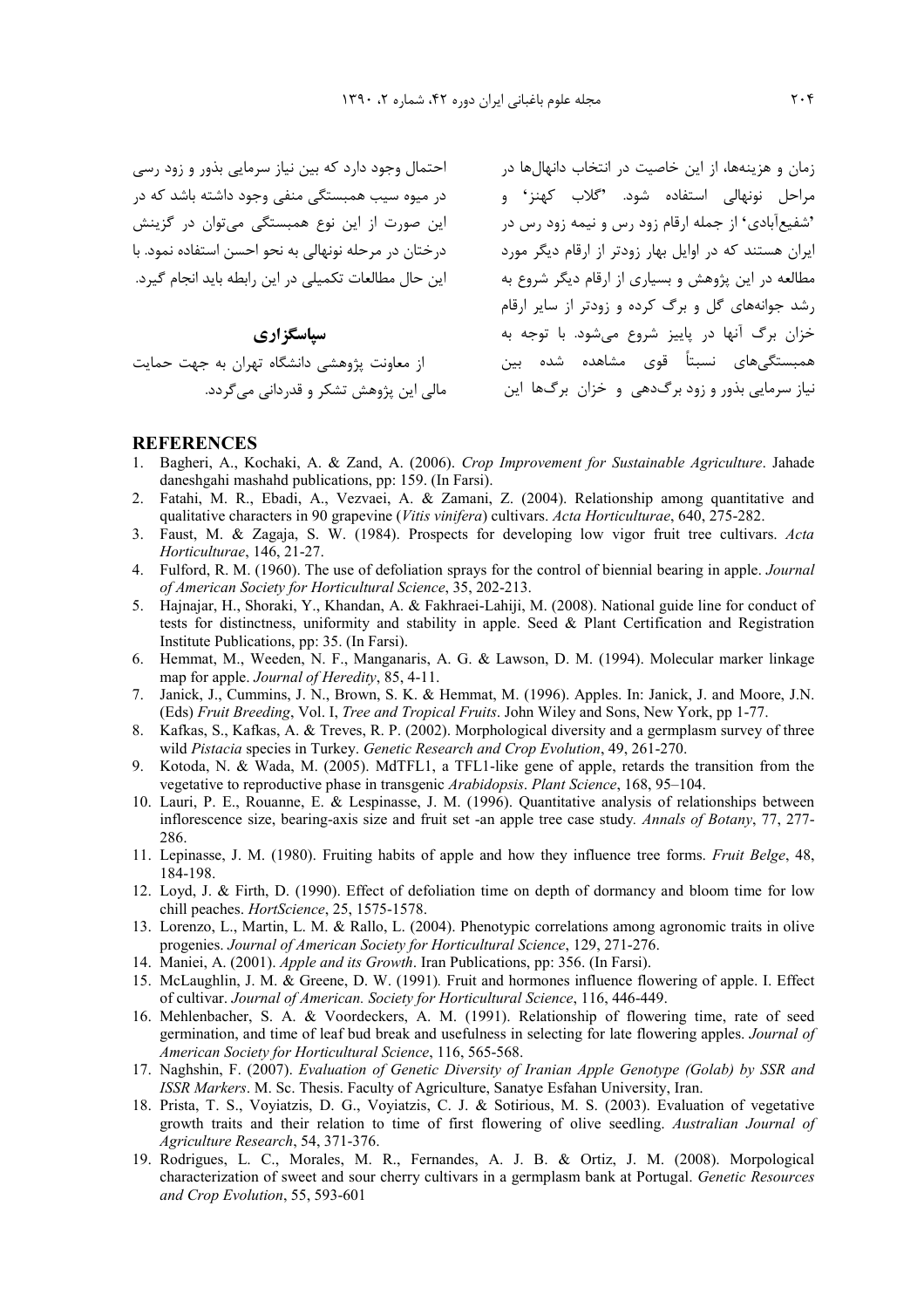زمان و هزینهها، از این خاصیت در انتخاب دانهالها در مساحتمال وجود دارد که بین نیاز سرمایی بذور و زود رسی این صورت از این نوع همبستگی میتوان در گزینش درختان در مرحله نونهالی به نحو احسن استفاده نمود. با این حال مطالعات تکمیلی در این رابطه باید انجام گیرد.

سیاسگزاری از معاونت پژوهشی دانشگاه تهران به حهت حمایت مالي اين پژوهش تشکر و قدرداني مي گردد.

```
مراحل نونهالی استفاده شود. 'گلاب کهنز' و میره سیب همبستگی منفی وجود داشته باشد که در<br>دوز آلف کار را ایقلین میسیند و میروند و میران استفاده استفاده و تولید تاریخ میداند که در
                                                  'شفیعآبادی' از جمله ارقام زود رس و نیمه زود رس در
                                                  ایران هستند که در اوایل بهار زودتر از ارقام دیگر مورد
                                                    مطالعه در این پژوهش و بسیاری از ارقام دیگر شروع به
                                                    , شد جوانههای گل و برگ کرده و زودتر از سایر ارقام
                                                    خزان برگ آنها در پاییز شروع می شود. با توجه به
                                                    همبستگیِهای نسبتاً قوی مشاهده شده بین
                                                   نیاز سرمایی بذور و زود برگدهی و خزان برگها این
```
#### **REFERENCES**

- 1. Bagheri, A., Kochaki, A. & Zand, A. (2006). Crop Improvement for Sustainable Agriculture. Jahade daneshgahi mashahd publications, pp: 159. (In Farsi).
- Fatahi, M. R., Ebadi, A., Vezvaei, A. & Zamani, Z. (2004). Relationship among quantitative and  $2^{\circ}$ qualitative characters in 90 grapevine (Vitis vinifera) cultivars. Acta Horticulturae, 640, 275-282.
- 3. Faust, M. & Zagaja, S. W. (1984). Prospects for developing low vigor fruit tree cultivars. Acta Horticulturae, 146, 21-27.
- 4. Fulford, R. M. (1960). The use of defoliation sprays for the control of biennial bearing in apple. *Journal* of American Society for Horticultural Science, 35, 202-213.
- 5. Hainajar, H., Shoraki, Y., Khandan, A. & Fakhraei-Lahiji, M. (2008). National guide line for conduct of tests for distinctness, uniformity and stability in apple. Seed & Plant Certification and Registration Institute Publications, pp: 35. (In Farsi).
- 6. Hemmat, M., Weeden, N. F., Manganaris, A. G. & Lawson, D. M. (1994). Molecular marker linkage map for apple. Journal of Heredity, 85, 4-11.
- 7. Janick, J., Cummins, J. N., Brown, S. K. & Hemmat, M. (1996). Apples. In: Janick, J. and Moore, J.N. (Eds) Fruit Breeding, Vol. I, Tree and Tropical Fruits. John Wiley and Sons, New York, pp 1-77.
- 8. Kafkas, S., Kafkas, A. & Treves, R. P. (2002). Morphological diversity and a germplasm survey of three wild Pistacia species in Turkey. Genetic Research and Crop Evolution, 49, 261-270.
- 9. Kotoda, N. & Wada, M. (2005). MdTFL1, a TFL1-like gene of apple, retards the transition from the vegetative to reproductive phase in transgenic Arabidopsis. Plant Science, 168, 95–104.
- 10. Lauri, P. E., Rouanne, E. & Lespinasse, J. M. (1996). Quantitative analysis of relationships between inflorescence size, bearing-axis size and fruit set -an apple tree case study. Annals of Botany, 77, 277-286.
- 11. Lepinasse, J. M. (1980). Fruiting habits of apple and how they influence tree forms. Fruit Belge, 48, 184-198.
- 12. Loyd, J. & Firth, D. (1990). Effect of defoliation time on depth of dormancy and bloom time for low chill peaches. HortScience, 25, 1575-1578.
- 13. Lorenzo, L., Martin, L. M. & Rallo, L. (2004). Phenotypic correlations among agronomic traits in olive progenies. Journal of American Society for Horticultural Science, 129, 271-276.
- 14. Maniei, A. (2001). Apple and its Growth. Iran Publications, pp: 356. (In Farsi).
- 15. McLaughlin, J. M. & Greene, D. W. (1991). Fruit and hormones influence flowering of apple. I. Effect of cultivar. Journal of American. Society for Horticultural Science, 116, 446-449.
- 16. Mehlenbacher, S. A. & Voordeckers, A. M. (1991). Relationship of flowering time, rate of seed germination, and time of leaf bud break and usefulness in selecting for late flowering apples. Journal of American Society for Horticultural Science, 116, 565-568.
- 17. Naghshin, F. (2007). Evaluation of Genetic Diversity of Iranian Apple Genotype (Golab) by SSR and ISSR Markers. M. Sc. Thesis. Faculty of Agriculture, Sanatye Esfahan University, Iran.
- 18. Prista, T. S., Voyiatzis, D. G., Voyiatzis, C. J. & Sotirious, M. S. (2003). Evaluation of vegetative growth traits and their relation to time of first flowering of olive seedling. Australian Journal of Agriculture Research, 54, 371-376.
- 19. Rodrigues, L. C., Morales, M. R., Fernandes, A. J. B. & Ortiz, J. M. (2008). Morpological characterization of sweet and sour cherry cultivars in a germplasm bank at Portugal. Genetic Resources and Crop Evolution, 55, 593-601